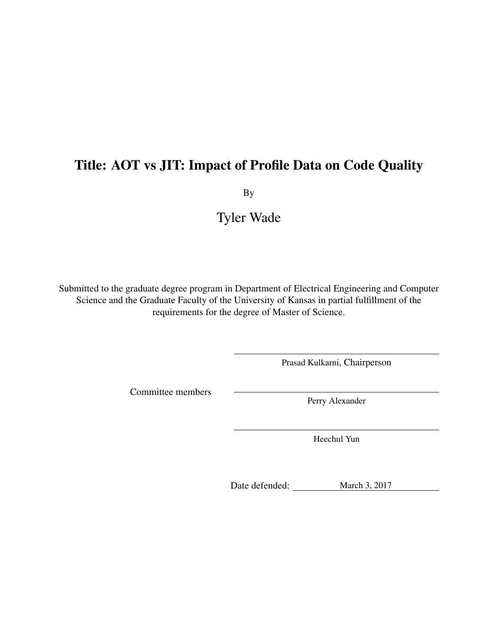# Title: AOT vs JIT: Impact of Profile Data on Code Quality

By

# Tyler Wade

Submitted to the graduate degree program in Department of Electrical Engineering and Computer Science and the Graduate Faculty of the University of Kansas in partial fulfillment of the requirements for the degree of Master of Science.

Prasad Kulkarni, Chairperson

Committee members

Perry Alexander

Heechul Yun

Date defended: March 3, 2017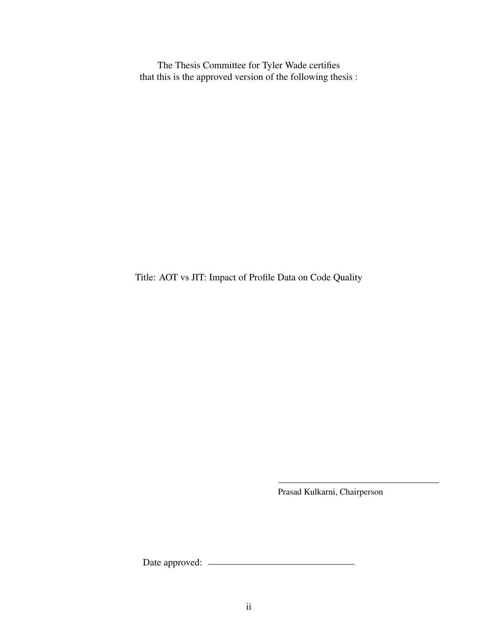The Thesis Committee for Tyler Wade certifies that this is the approved version of the following thesis :

Title: AOT vs JIT: Impact of Profile Data on Code Quality

Prasad Kulkarni, Chairperson

Date approved: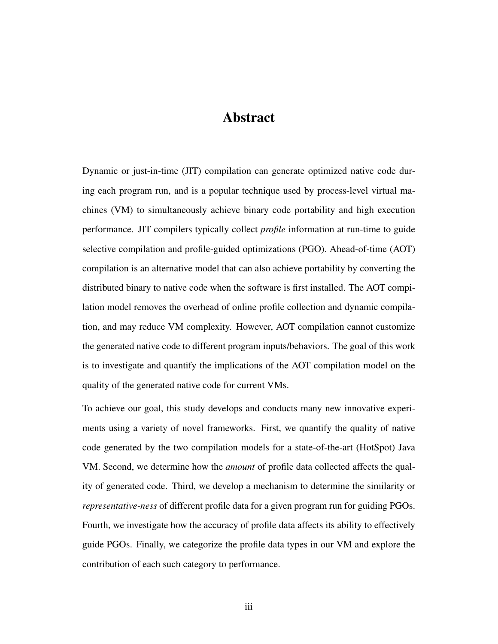## Abstract

Dynamic or just-in-time (JIT) compilation can generate optimized native code during each program run, and is a popular technique used by process-level virtual machines (VM) to simultaneously achieve binary code portability and high execution performance. JIT compilers typically collect *profile* information at run-time to guide selective compilation and profile-guided optimizations (PGO). Ahead-of-time (AOT) compilation is an alternative model that can also achieve portability by converting the distributed binary to native code when the software is first installed. The AOT compilation model removes the overhead of online profile collection and dynamic compilation, and may reduce VM complexity. However, AOT compilation cannot customize the generated native code to different program inputs/behaviors. The goal of this work is to investigate and quantify the implications of the AOT compilation model on the quality of the generated native code for current VMs.

To achieve our goal, this study develops and conducts many new innovative experiments using a variety of novel frameworks. First, we quantify the quality of native code generated by the two compilation models for a state-of-the-art (HotSpot) Java VM. Second, we determine how the *amount* of profile data collected affects the quality of generated code. Third, we develop a mechanism to determine the similarity or *representative-ness* of different profile data for a given program run for guiding PGOs. Fourth, we investigate how the accuracy of profile data affects its ability to effectively guide PGOs. Finally, we categorize the profile data types in our VM and explore the contribution of each such category to performance.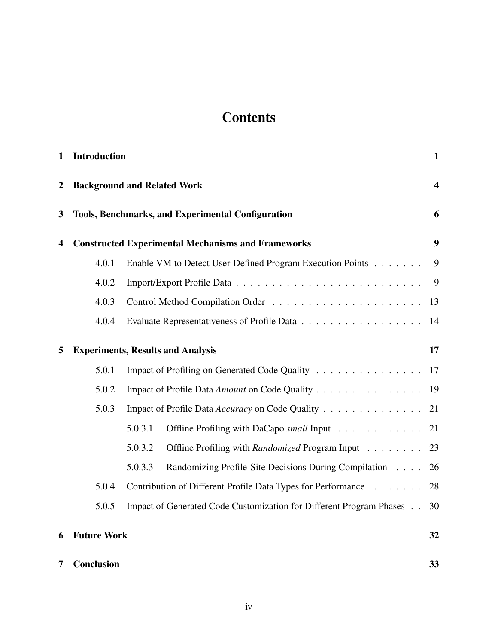# **Contents**

| 1                                                             | <b>Introduction</b>                      |                                                                     | $\mathbf{1}$            |  |
|---------------------------------------------------------------|------------------------------------------|---------------------------------------------------------------------|-------------------------|--|
| $\boldsymbol{2}$                                              |                                          | <b>Background and Related Work</b>                                  | $\overline{\mathbf{4}}$ |  |
| <b>Tools, Benchmarks, and Experimental Configuration</b><br>3 |                                          |                                                                     | 6                       |  |
| 4                                                             |                                          | <b>Constructed Experimental Mechanisms and Frameworks</b>           | 9                       |  |
|                                                               | 4.0.1                                    | Enable VM to Detect User-Defined Program Execution Points           | 9                       |  |
|                                                               | 4.0.2                                    |                                                                     | 9                       |  |
|                                                               | 4.0.3                                    |                                                                     | 13                      |  |
|                                                               | 4.0.4                                    |                                                                     | 14                      |  |
| 5                                                             | <b>Experiments, Results and Analysis</b> |                                                                     |                         |  |
|                                                               | 5.0.1                                    | Impact of Profiling on Generated Code Quality                       | 17                      |  |
|                                                               | 5.0.2                                    | Impact of Profile Data Amount on Code Quality                       | 19                      |  |
|                                                               | 5.0.3                                    | Impact of Profile Data Accuracy on Code Quality                     | 21                      |  |
|                                                               |                                          | 5.0.3.1<br>Offline Profiling with DaCapo small Input                | 21                      |  |
|                                                               |                                          | 5.0.3.2<br>Offline Profiling with Randomized Program Input          | 23                      |  |
|                                                               |                                          | 5.0.3.3<br>Randomizing Profile-Site Decisions During Compilation    | 26                      |  |
|                                                               | 5.0.4                                    | Contribution of Different Profile Data Types for Performance        | 28                      |  |
|                                                               | 5.0.5                                    | Impact of Generated Code Customization for Different Program Phases | 30                      |  |
| 6                                                             | <b>Future Work</b>                       |                                                                     | 32                      |  |
| 7                                                             | <b>Conclusion</b>                        |                                                                     | 33                      |  |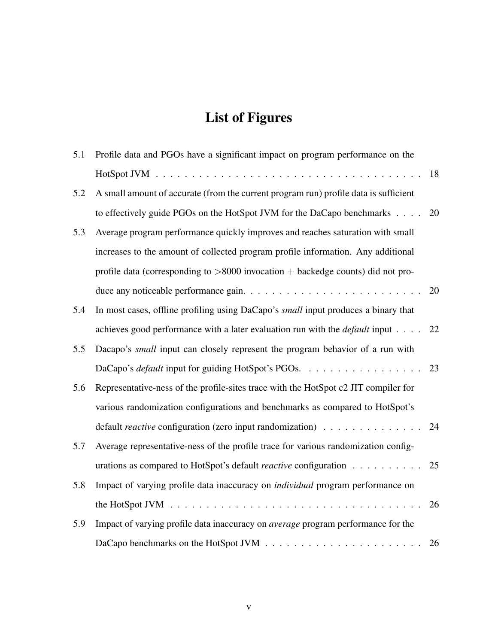# List of Figures

| 5.1 | Profile data and PGOs have a significant impact on program performance on the                 |    |
|-----|-----------------------------------------------------------------------------------------------|----|
|     |                                                                                               | 18 |
| 5.2 | A small amount of accurate (from the current program run) profile data is sufficient          |    |
|     | to effectively guide PGOs on the HotSpot JVM for the DaCapo benchmarks                        | 20 |
| 5.3 | Average program performance quickly improves and reaches saturation with small                |    |
|     | increases to the amount of collected program profile information. Any additional              |    |
|     | profile data (corresponding to $>8000$ invocation + backedge counts) did not pro-             |    |
|     |                                                                                               | 20 |
| 5.4 | In most cases, offline profiling using DaCapo's <i>small</i> input produces a binary that     |    |
|     | achieves good performance with a later evaluation run with the <i>default</i> input $\dots$ . | 22 |
| 5.5 | Dacapo's small input can closely represent the program behavior of a run with                 |    |
|     | DaCapo's <i>default</i> input for guiding HotSpot's PGOs. 23                                  |    |
| 5.6 | Representative-ness of the profile-sites trace with the HotSpot c2 JIT compiler for           |    |
|     | various randomization configurations and benchmarks as compared to HotSpot's                  |    |
|     | default <i>reactive</i> configuration (zero input randomization)                              | 24 |
| 5.7 | Average representative-ness of the profile trace for various randomization config-            |    |
|     | urations as compared to HotSpot's default <i>reactive</i> configuration                       | 25 |
| 5.8 | Impact of varying profile data inaccuracy on <i>individual</i> program performance on         |    |
|     |                                                                                               | 26 |
| 5.9 | Impact of varying profile data inaccuracy on <i>average</i> program performance for the       |    |
|     |                                                                                               | 26 |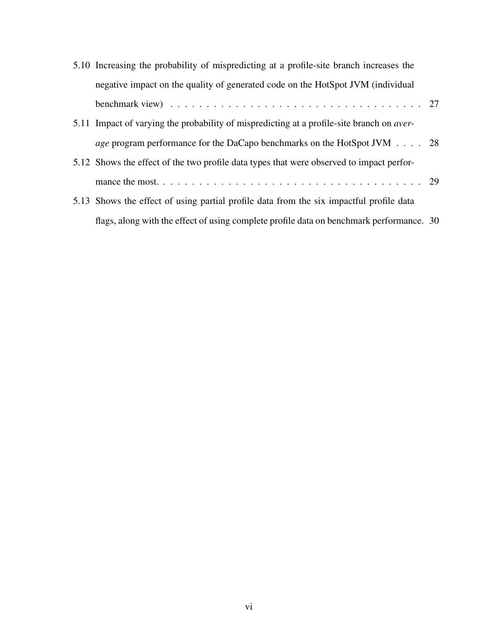| 5.10 Increasing the probability of mispredicting at a profile-site branch increases the                         |  |  |
|-----------------------------------------------------------------------------------------------------------------|--|--|
| negative impact on the quality of generated code on the HotSpot JVM (individual                                 |  |  |
| benchmark view) $\ldots \ldots \ldots \ldots \ldots \ldots \ldots \ldots \ldots \ldots \ldots \ldots \ldots 27$ |  |  |
| 5.11 Impact of varying the probability of mispredicting at a profile-site branch on <i>aver</i> -               |  |  |
| <i>age</i> program performance for the DaCapo benchmarks on the HotSpot JVM 28                                  |  |  |
| 5.12 Shows the effect of the two profile data types that were observed to impact perfor-                        |  |  |
|                                                                                                                 |  |  |
| 5.13 Shows the effect of using partial profile data from the six impactful profile data                         |  |  |
| flags, along with the effect of using complete profile data on benchmark performance. 30                        |  |  |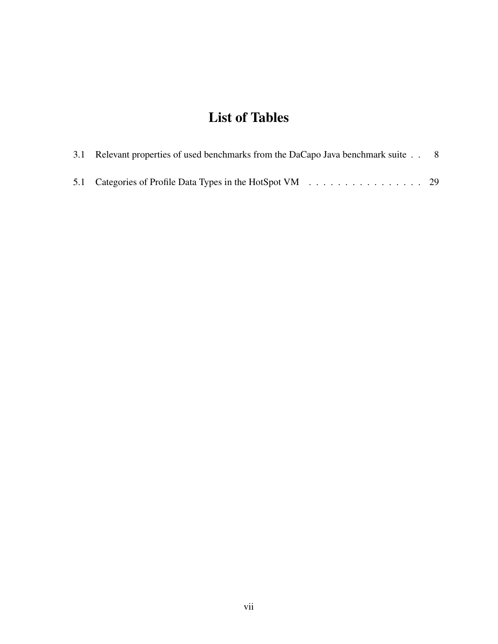# List of Tables

| 3.1 Relevant properties of used benchmarks from the DaCapo Java benchmark suite 8 |  |  |  |
|-----------------------------------------------------------------------------------|--|--|--|
| 5.1 Categories of Profile Data Types in the HotSpot VM 29                         |  |  |  |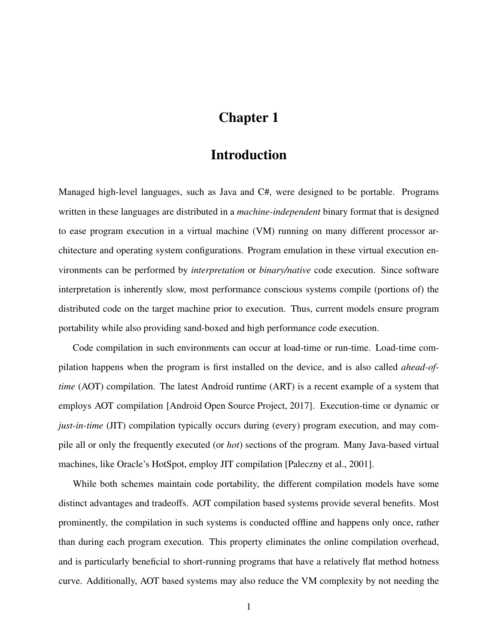# Chapter 1

## Introduction

<span id="page-7-0"></span>Managed high-level languages, such as Java and C#, were designed to be portable. Programs written in these languages are distributed in a *machine-independent* binary format that is designed to ease program execution in a virtual machine (VM) running on many different processor architecture and operating system configurations. Program emulation in these virtual execution environments can be performed by *interpretation* or *binary/native* code execution. Since software interpretation is inherently slow, most performance conscious systems compile (portions of) the distributed code on the target machine prior to execution. Thus, current models ensure program portability while also providing sand-boxed and high performance code execution.

Code compilation in such environments can occur at load-time or run-time. Load-time compilation happens when the program is first installed on the device, and is also called *ahead-oftime* (AOT) compilation. The latest Android runtime (ART) is a recent example of a system that employs AOT compilation [\[Android Open Source Project, 2017\]](#page-40-0). Execution-time or dynamic or *just-in-time* (JIT) compilation typically occurs during (every) program execution, and may compile all or only the frequently executed (or *hot*) sections of the program. Many Java-based virtual machines, like Oracle's HotSpot, employ JIT compilation [\[Paleczny et al., 2001\]](#page-43-0).

While both schemes maintain code portability, the different compilation models have some distinct advantages and tradeoffs. AOT compilation based systems provide several benefits. Most prominently, the compilation in such systems is conducted offline and happens only once, rather than during each program execution. This property eliminates the online compilation overhead, and is particularly beneficial to short-running programs that have a relatively flat method hotness curve. Additionally, AOT based systems may also reduce the VM complexity by not needing the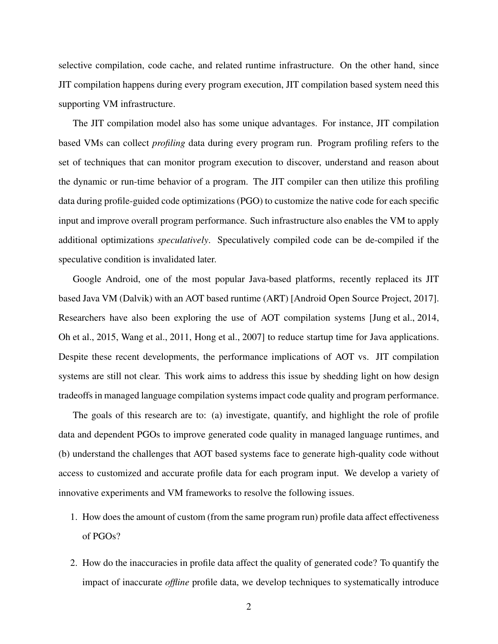selective compilation, code cache, and related runtime infrastructure. On the other hand, since JIT compilation happens during every program execution, JIT compilation based system need this supporting VM infrastructure.

The JIT compilation model also has some unique advantages. For instance, JIT compilation based VMs can collect *profiling* data during every program run. Program profiling refers to the set of techniques that can monitor program execution to discover, understand and reason about the dynamic or run-time behavior of a program. The JIT compiler can then utilize this profiling data during profile-guided code optimizations (PGO) to customize the native code for each specific input and improve overall program performance. Such infrastructure also enables the VM to apply additional optimizations *speculatively*. Speculatively compiled code can be de-compiled if the speculative condition is invalidated later.

Google Android, one of the most popular Java-based platforms, recently replaced its JIT based Java VM (Dalvik) with an AOT based runtime (ART) [\[Android Open Source Project, 2017\]](#page-40-0). Researchers have also been exploring the use of AOT compilation systems [\[Jung et al., 2014,](#page-42-0) [Oh et al., 2015,](#page-43-1) [Wang et al., 2011,](#page-44-0) [Hong et al., 2007\]](#page-42-1) to reduce startup time for Java applications. Despite these recent developments, the performance implications of AOT vs. JIT compilation systems are still not clear. This work aims to address this issue by shedding light on how design tradeoffs in managed language compilation systems impact code quality and program performance.

The goals of this research are to: (a) investigate, quantify, and highlight the role of profile data and dependent PGOs to improve generated code quality in managed language runtimes, and (b) understand the challenges that AOT based systems face to generate high-quality code without access to customized and accurate profile data for each program input. We develop a variety of innovative experiments and VM frameworks to resolve the following issues.

- 1. How does the amount of custom (from the same program run) profile data affect effectiveness of PGOs?
- 2. How do the inaccuracies in profile data affect the quality of generated code? To quantify the impact of inaccurate *offline* profile data, we develop techniques to systematically introduce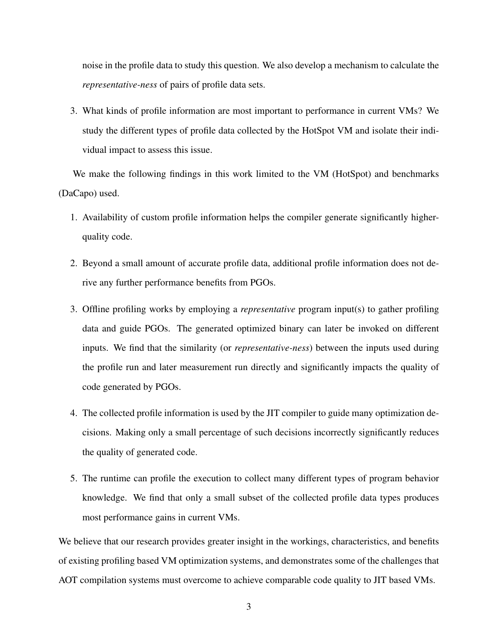noise in the profile data to study this question. We also develop a mechanism to calculate the *representative-ness* of pairs of profile data sets.

3. What kinds of profile information are most important to performance in current VMs? We study the different types of profile data collected by the HotSpot VM and isolate their individual impact to assess this issue.

We make the following findings in this work limited to the VM (HotSpot) and benchmarks (DaCapo) used.

- 1. Availability of custom profile information helps the compiler generate significantly higherquality code.
- 2. Beyond a small amount of accurate profile data, additional profile information does not derive any further performance benefits from PGOs.
- 3. Offline profiling works by employing a *representative* program input(s) to gather profiling data and guide PGOs. The generated optimized binary can later be invoked on different inputs. We find that the similarity (or *representative-ness*) between the inputs used during the profile run and later measurement run directly and significantly impacts the quality of code generated by PGOs.
- 4. The collected profile information is used by the JIT compiler to guide many optimization decisions. Making only a small percentage of such decisions incorrectly significantly reduces the quality of generated code.
- 5. The runtime can profile the execution to collect many different types of program behavior knowledge. We find that only a small subset of the collected profile data types produces most performance gains in current VMs.

We believe that our research provides greater insight in the workings, characteristics, and benefits of existing profiling based VM optimization systems, and demonstrates some of the challenges that AOT compilation systems must overcome to achieve comparable code quality to JIT based VMs.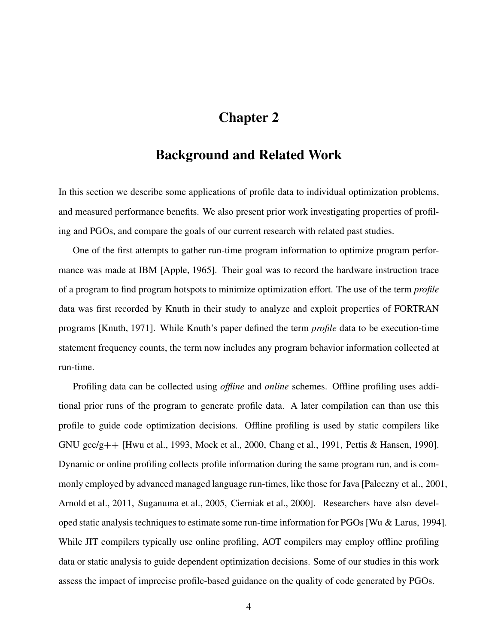# Chapter 2

### Background and Related Work

<span id="page-10-0"></span>In this section we describe some applications of profile data to individual optimization problems, and measured performance benefits. We also present prior work investigating properties of profiling and PGOs, and compare the goals of our current research with related past studies.

One of the first attempts to gather run-time program information to optimize program performance was made at IBM [\[Apple, 1965\]](#page-40-1). Their goal was to record the hardware instruction trace of a program to find program hotspots to minimize optimization effort. The use of the term *profile* data was first recorded by Knuth in their study to analyze and exploit properties of FORTRAN programs [\[Knuth, 1971\]](#page-42-2). While Knuth's paper defined the term *profile* data to be execution-time statement frequency counts, the term now includes any program behavior information collected at run-time.

Profiling data can be collected using *offline* and *online* schemes. Offline profiling uses additional prior runs of the program to generate profile data. A later compilation can than use this profile to guide code optimization decisions. Offline profiling is used by static compilers like GNU gcc/g++ [\[Hwu et al., 1993,](#page-42-3) [Mock et al., 2000,](#page-43-2) [Chang et al., 1991,](#page-41-0) [Pettis & Hansen, 1990\]](#page-43-3). Dynamic or online profiling collects profile information during the same program run, and is commonly employed by advanced managed language run-times, like those for Java [\[Paleczny et al., 2001,](#page-43-0) [Arnold et al., 2011,](#page-40-2) [Suganuma et al., 2005,](#page-44-1) [Cierniak et al., 2000\]](#page-41-1). Researchers have also developed static analysis techniques to estimate some run-time information for PGOs [\[Wu & Larus, 1994\]](#page-44-2). While JIT compilers typically use online profiling, AOT compilers may employ offline profiling data or static analysis to guide dependent optimization decisions. Some of our studies in this work assess the impact of imprecise profile-based guidance on the quality of code generated by PGOs.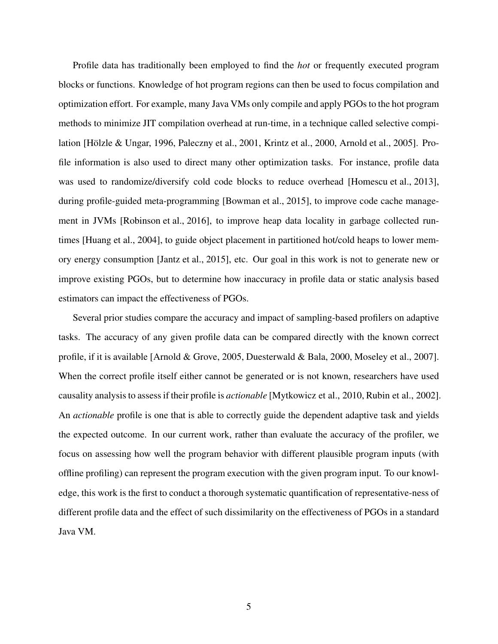Profile data has traditionally been employed to find the *hot* or frequently executed program blocks or functions. Knowledge of hot program regions can then be used to focus compilation and optimization effort. For example, many Java VMs only compile and apply PGOs to the hot program methods to minimize JIT compilation overhead at run-time, in a technique called selective compilation [\[Hölzle & Ungar, 1996,](#page-41-2) [Paleczny et al., 2001,](#page-43-0) [Krintz et al., 2000,](#page-43-4) [Arnold et al., 2005\]](#page-40-3). Profile information is also used to direct many other optimization tasks. For instance, profile data was used to randomize/diversify cold code blocks to reduce overhead [\[Homescu et al., 2013\]](#page-42-4), during profile-guided meta-programming [\[Bowman et al., 2015\]](#page-41-3), to improve code cache management in JVMs [\[Robinson et al., 2016\]](#page-44-3), to improve heap data locality in garbage collected runtimes [\[Huang et al., 2004\]](#page-42-5), to guide object placement in partitioned hot/cold heaps to lower memory energy consumption [\[Jantz et al., 2015\]](#page-42-6), etc. Our goal in this work is not to generate new or improve existing PGOs, but to determine how inaccuracy in profile data or static analysis based estimators can impact the effectiveness of PGOs.

Several prior studies compare the accuracy and impact of sampling-based profilers on adaptive tasks. The accuracy of any given profile data can be compared directly with the known correct profile, if it is available [\[Arnold & Grove, 2005,](#page-40-4) [Duesterwald & Bala, 2000,](#page-41-4) [Moseley et al., 2007\]](#page-43-5). When the correct profile itself either cannot be generated or is not known, researchers have used causality analysis to assess if their profile is *actionable* [\[Mytkowicz et al., 2010,](#page-43-6) [Rubin et al., 2002\]](#page-44-4). An *actionable* profile is one that is able to correctly guide the dependent adaptive task and yields the expected outcome. In our current work, rather than evaluate the accuracy of the profiler, we focus on assessing how well the program behavior with different plausible program inputs (with offline profiling) can represent the program execution with the given program input. To our knowledge, this work is the first to conduct a thorough systematic quantification of representative-ness of different profile data and the effect of such dissimilarity on the effectiveness of PGOs in a standard Java VM.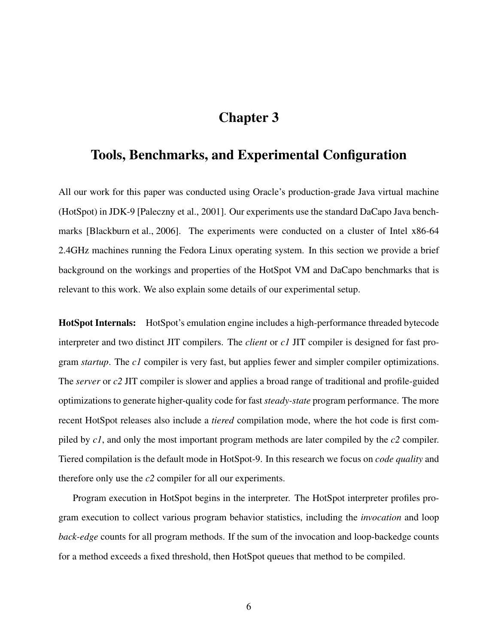# Chapter 3

### <span id="page-12-0"></span>Tools, Benchmarks, and Experimental Configuration

All our work for this paper was conducted using Oracle's production-grade Java virtual machine (HotSpot) in JDK-9 [\[Paleczny et al., 2001\]](#page-43-0). Our experiments use the standard DaCapo Java benchmarks [\[Blackburn et al., 2006\]](#page-40-5). The experiments were conducted on a cluster of Intel x86-64 2.4GHz machines running the Fedora Linux operating system. In this section we provide a brief background on the workings and properties of the HotSpot VM and DaCapo benchmarks that is relevant to this work. We also explain some details of our experimental setup.

HotSpot Internals: HotSpot's emulation engine includes a high-performance threaded bytecode interpreter and two distinct JIT compilers. The *client* or *c1* JIT compiler is designed for fast program *startup*. The *c1* compiler is very fast, but applies fewer and simpler compiler optimizations. The *server* or *c2* JIT compiler is slower and applies a broad range of traditional and profile-guided optimizations to generate higher-quality code for fast *steady-state* program performance. The more recent HotSpot releases also include a *tiered* compilation mode, where the hot code is first compiled by *c1*, and only the most important program methods are later compiled by the *c2* compiler. Tiered compilation is the default mode in HotSpot-9. In this research we focus on *code quality* and therefore only use the *c2* compiler for all our experiments.

Program execution in HotSpot begins in the interpreter. The HotSpot interpreter profiles program execution to collect various program behavior statistics, including the *invocation* and loop *back-edge* counts for all program methods. If the sum of the invocation and loop-backedge counts for a method exceeds a fixed threshold, then HotSpot queues that method to be compiled.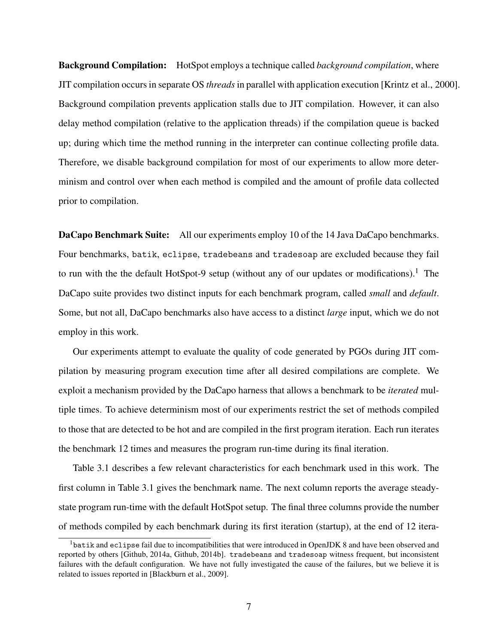Background Compilation: HotSpot employs a technique called *background compilation*, where JIT compilation occurs in separate OS *threads*in parallel with application execution [\[Krintz et al., 2000\]](#page-43-4). Background compilation prevents application stalls due to JIT compilation. However, it can also delay method compilation (relative to the application threads) if the compilation queue is backed up; during which time the method running in the interpreter can continue collecting profile data. Therefore, we disable background compilation for most of our experiments to allow more determinism and control over when each method is compiled and the amount of profile data collected prior to compilation.

DaCapo Benchmark Suite: All our experiments employ 10 of the 14 Java DaCapo benchmarks. Four benchmarks, batik, eclipse, tradebeans and tradesoap are excluded because they fail to run with the the default HotSpot-9 setup (without any of our updates or modifications).<sup>[1](#page-13-0)</sup> The DaCapo suite provides two distinct inputs for each benchmark program, called *small* and *default*. Some, but not all, DaCapo benchmarks also have access to a distinct *large* input, which we do not employ in this work.

Our experiments attempt to evaluate the quality of code generated by PGOs during JIT compilation by measuring program execution time after all desired compilations are complete. We exploit a mechanism provided by the DaCapo harness that allows a benchmark to be *iterated* multiple times. To achieve determinism most of our experiments restrict the set of methods compiled to those that are detected to be hot and are compiled in the first program iteration. Each run iterates the benchmark 12 times and measures the program run-time during its final iteration.

Table [3.1](#page-14-0) describes a few relevant characteristics for each benchmark used in this work. The first column in Table [3.1](#page-14-0) gives the benchmark name. The next column reports the average steadystate program run-time with the default HotSpot setup. The final three columns provide the number of methods compiled by each benchmark during its first iteration (startup), at the end of 12 itera-

<span id="page-13-0"></span><sup>&</sup>lt;sup>1</sup>batik and eclipse fail due to incompatibilities that were introduced in OpenJDK 8 and have been observed and reported by others [\[Github, 2014a,](#page-41-5) [Github, 2014b\]](#page-41-6). tradebeans and tradesoap witness frequent, but inconsistent failures with the default configuration. We have not fully investigated the cause of the failures, but we believe it is related to issues reported in [\[Blackburn et al., 2009\]](#page-40-6).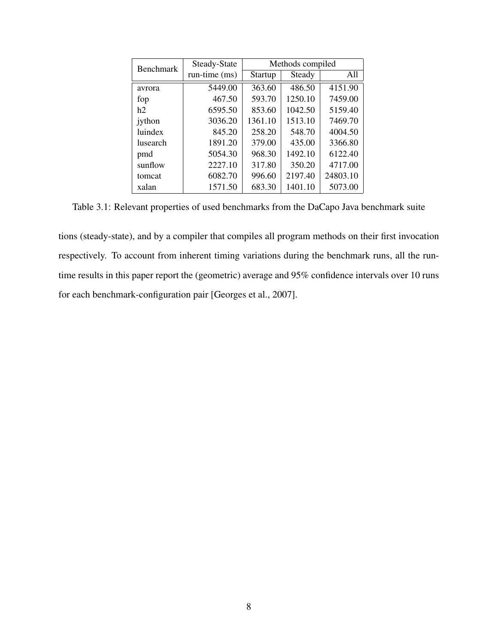<span id="page-14-0"></span>

| <b>Benchmark</b> | Steady-State  | Methods compiled |         |          |
|------------------|---------------|------------------|---------|----------|
|                  | run-time (ms) | Startup          | Steady  | All      |
| avrora           | 5449.00       | 363.60           | 486.50  | 4151.90  |
| fop              | 467.50        | 593.70           | 1250.10 | 7459.00  |
| h2               | 6595.50       | 853.60           | 1042.50 | 5159.40  |
| jython           | 3036.20       | 1361.10          | 1513.10 | 7469.70  |
| luindex          | 845.20        | 258.20           | 548.70  | 4004.50  |
| <b>lusearch</b>  | 1891.20       | 379.00           | 435.00  | 3366.80  |
| pmd              | 5054.30       | 968.30           | 1492.10 | 6122.40  |
| sunflow          | 2227.10       | 317.80           | 350.20  | 4717.00  |
| tomcat           | 6082.70       | 996.60           | 2197.40 | 24803.10 |
| xalan            | 1571.50       | 683.30           | 1401.10 | 5073.00  |

Table 3.1: Relevant properties of used benchmarks from the DaCapo Java benchmark suite

tions (steady-state), and by a compiler that compiles all program methods on their first invocation respectively. To account from inherent timing variations during the benchmark runs, all the runtime results in this paper report the (geometric) average and 95% confidence intervals over 10 runs for each benchmark-configuration pair [\[Georges et al., 2007\]](#page-41-7).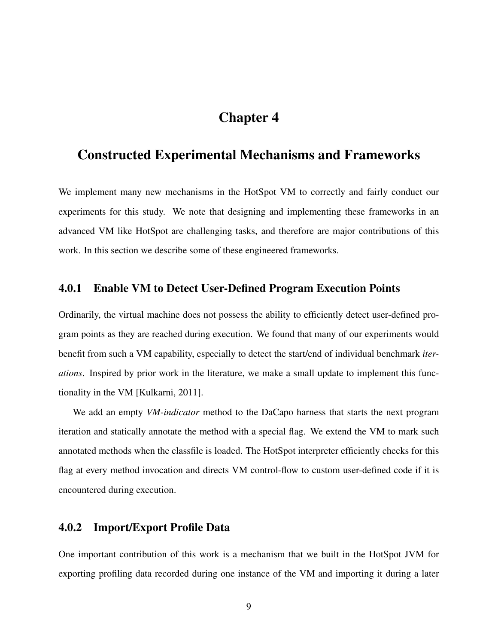## Chapter 4

### <span id="page-15-0"></span>Constructed Experimental Mechanisms and Frameworks

We implement many new mechanisms in the HotSpot VM to correctly and fairly conduct our experiments for this study. We note that designing and implementing these frameworks in an advanced VM like HotSpot are challenging tasks, and therefore are major contributions of this work. In this section we describe some of these engineered frameworks.

#### <span id="page-15-1"></span>4.0.1 Enable VM to Detect User-Defined Program Execution Points

Ordinarily, the virtual machine does not possess the ability to efficiently detect user-defined program points as they are reached during execution. We found that many of our experiments would benefit from such a VM capability, especially to detect the start/end of individual benchmark *iterations*. Inspired by prior work in the literature, we make a small update to implement this functionality in the VM [\[Kulkarni, 2011\]](#page-43-7).

We add an empty *VM-indicator* method to the DaCapo harness that starts the next program iteration and statically annotate the method with a special flag. We extend the VM to mark such annotated methods when the classfile is loaded. The HotSpot interpreter efficiently checks for this flag at every method invocation and directs VM control-flow to custom user-defined code if it is encountered during execution.

### <span id="page-15-2"></span>4.0.2 Import/Export Profile Data

One important contribution of this work is a mechanism that we built in the HotSpot JVM for exporting profiling data recorded during one instance of the VM and importing it during a later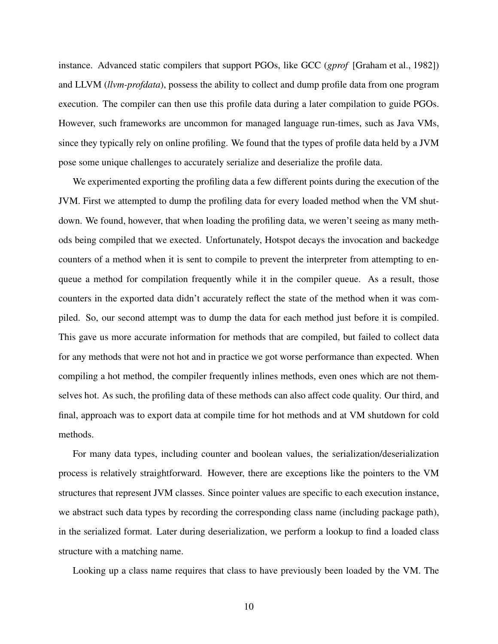instance. Advanced static compilers that support PGOs, like GCC (*gprof* [\[Graham et al., 1982\]](#page-41-8)) and LLVM (*llvm-profdata*), possess the ability to collect and dump profile data from one program execution. The compiler can then use this profile data during a later compilation to guide PGOs. However, such frameworks are uncommon for managed language run-times, such as Java VMs, since they typically rely on online profiling. We found that the types of profile data held by a JVM pose some unique challenges to accurately serialize and deserialize the profile data.

We experimented exporting the profiling data a few different points during the execution of the JVM. First we attempted to dump the profiling data for every loaded method when the VM shutdown. We found, however, that when loading the profiling data, we weren't seeing as many methods being compiled that we exected. Unfortunately, Hotspot decays the invocation and backedge counters of a method when it is sent to compile to prevent the interpreter from attempting to enqueue a method for compilation frequently while it in the compiler queue. As a result, those counters in the exported data didn't accurately reflect the state of the method when it was compiled. So, our second attempt was to dump the data for each method just before it is compiled. This gave us more accurate information for methods that are compiled, but failed to collect data for any methods that were not hot and in practice we got worse performance than expected. When compiling a hot method, the compiler frequently inlines methods, even ones which are not themselves hot. As such, the profiling data of these methods can also affect code quality. Our third, and final, approach was to export data at compile time for hot methods and at VM shutdown for cold methods.

For many data types, including counter and boolean values, the serialization/deserialization process is relatively straightforward. However, there are exceptions like the pointers to the VM structures that represent JVM classes. Since pointer values are specific to each execution instance, we abstract such data types by recording the corresponding class name (including package path), in the serialized format. Later during deserialization, we perform a lookup to find a loaded class structure with a matching name.

Looking up a class name requires that class to have previously been loaded by the VM. The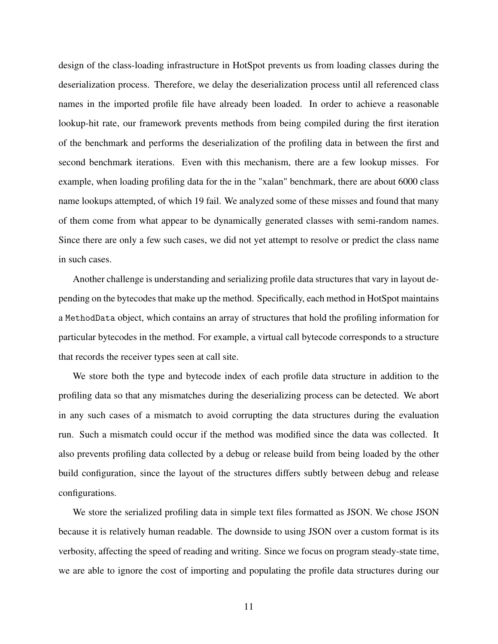design of the class-loading infrastructure in HotSpot prevents us from loading classes during the deserialization process. Therefore, we delay the deserialization process until all referenced class names in the imported profile file have already been loaded. In order to achieve a reasonable lookup-hit rate, our framework prevents methods from being compiled during the first iteration of the benchmark and performs the deserialization of the profiling data in between the first and second benchmark iterations. Even with this mechanism, there are a few lookup misses. For example, when loading profiling data for the in the "xalan" benchmark, there are about 6000 class name lookups attempted, of which 19 fail. We analyzed some of these misses and found that many of them come from what appear to be dynamically generated classes with semi-random names. Since there are only a few such cases, we did not yet attempt to resolve or predict the class name in such cases.

Another challenge is understanding and serializing profile data structures that vary in layout depending on the bytecodes that make up the method. Specifically, each method in HotSpot maintains a MethodData object, which contains an array of structures that hold the profiling information for particular bytecodes in the method. For example, a virtual call bytecode corresponds to a structure that records the receiver types seen at call site.

We store both the type and bytecode index of each profile data structure in addition to the profiling data so that any mismatches during the deserializing process can be detected. We abort in any such cases of a mismatch to avoid corrupting the data structures during the evaluation run. Such a mismatch could occur if the method was modified since the data was collected. It also prevents profiling data collected by a debug or release build from being loaded by the other build configuration, since the layout of the structures differs subtly between debug and release configurations.

We store the serialized profiling data in simple text files formatted as JSON. We chose JSON because it is relatively human readable. The downside to using JSON over a custom format is its verbosity, affecting the speed of reading and writing. Since we focus on program steady-state time, we are able to ignore the cost of importing and populating the profile data structures during our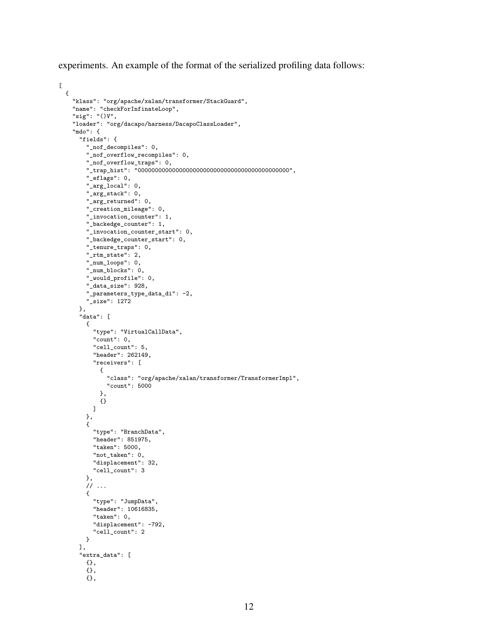experiments. An example of the format of the serialized profiling data follows:

```
\mathsf{L}% _{0}\left( \mathsf{L}_{0}\right) ^{T}=\mathsf{L}_{0}\left( \mathsf{L}_{0}\right) ^{T}{
    "klass": "org/apache/xalan/transformer/StackGuard",
    "name": "checkForInfinateLoop",
    "sig": "()V",
    "loader": "org/dacapo/harness/DacapoClassLoader",
    "mdo": {
      "fields": {
        "_nof_decompiles": 0,
        "_nof_overflow_recompiles": 0,
        "_nof_overflow_traps": 0,
        "_trap_hist": "00000000000000000000000000000000000000000000",
        "_eflags": 0,
        "_arg_local": 0,
        "_arg_stack": 0,
        "_arg_returned": 0,
        "_creation_mileage": 0,
        "_invocation_counter": 1,
        "_backedge_counter": 1,
        "_invocation_counter_start": 0,
        "_backedge_counter_start": 0,
        "_tenure_traps": 0,
        "_rtm_state": 2,
        "_num_loops": 0,
        "_num_blocks": 0,
        "_would_profile": 0,
        "_data_size": 928,
        "_parameters_type_data_di": -2,
        "_size": 1272
      },
      "data": [
        {
          "type": "VirtualCallData",
           "count": 0,
           "cell_count": 5,
           "header": 262149,
          "receivers": [
             {
               "class": "org/apache/xalan/transformer/TransformerImpl",
               "count": 5000
             },
             {}
          ]
        },
        {
          "type": "BranchData",
          "header": 851975,
          "taken": 5000,
           "not_taken": 0,
           "displacement": 32,
          "cell_count": 3
        },
        // ...
        {
          "type": "JumpData",
          "header": 10616835,
          "taken": 0,
          "displacement": -792,
           "cell_count": 2
        }
      ],
      "extra_data": [
        {},
        {},
        {},
```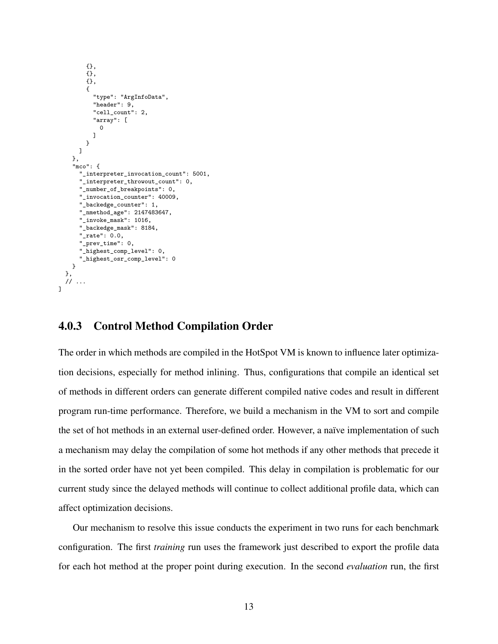```
{},
      {},
      {},
      {
        "type": "ArgInfoData",
        "header": 9,
        "cell_count": 2,
        "array": [
          \Omega]
      }
    ]
  },
  "mco": {
    "_interpreter_invocation_count": 5001,
    "_interpreter_throwout_count": 0,
    "_number_of_breakpoints": 0,
    "_invocation_counter": 40009,
    "_backedge_counter": 1,
    "_nmethod_age": 2147483647,
    "_invoke_mask": 1016,
    "_backedge_mask": 8184,
    "_rate": 0.0,
    "_prev_time": 0,
    "_highest_comp_level": 0,
    "_highest_osr_comp_level": 0
  }
},
// ...
```
 $\overline{1}$ 

#### <span id="page-19-0"></span>4.0.3 Control Method Compilation Order

The order in which methods are compiled in the HotSpot VM is known to influence later optimization decisions, especially for method inlining. Thus, configurations that compile an identical set of methods in different orders can generate different compiled native codes and result in different program run-time performance. Therefore, we build a mechanism in the VM to sort and compile the set of hot methods in an external user-defined order. However, a naïve implementation of such a mechanism may delay the compilation of some hot methods if any other methods that precede it in the sorted order have not yet been compiled. This delay in compilation is problematic for our current study since the delayed methods will continue to collect additional profile data, which can affect optimization decisions.

Our mechanism to resolve this issue conducts the experiment in two runs for each benchmark configuration. The first *training* run uses the framework just described to export the profile data for each hot method at the proper point during execution. In the second *evaluation* run, the first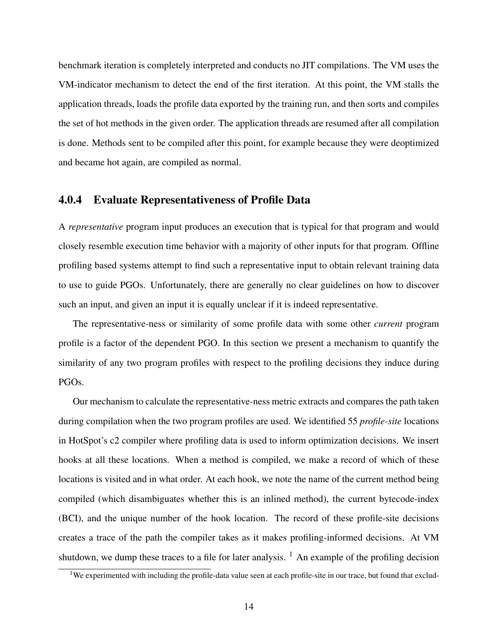benchmark iteration is completely interpreted and conducts no JIT compilations. The VM uses the VM-indicator mechanism to detect the end of the first iteration. At this point, the VM stalls the application threads, loads the profile data exported by the training run, and then sorts and compiles the set of hot methods in the given order. The application threads are resumed after all compilation is done. Methods sent to be compiled after this point, for example because they were deoptimized and became hot again, are compiled as normal.

#### <span id="page-20-0"></span>4.0.4 Evaluate Representativeness of Profile Data

A *representative* program input produces an execution that is typical for that program and would closely resemble execution time behavior with a majority of other inputs for that program. Offline profiling based systems attempt to find such a representative input to obtain relevant training data to use to guide PGOs. Unfortunately, there are generally no clear guidelines on how to discover such an input, and given an input it is equally unclear if it is indeed representative.

The representative-ness or similarity of some profile data with some other *current* program profile is a factor of the dependent PGO. In this section we present a mechanism to quantify the similarity of any two program profiles with respect to the profiling decisions they induce during PGOs.

Our mechanism to calculate the representative-ness metric extracts and compares the path taken during compilation when the two program profiles are used. We identified 55 *profile-site* locations in HotSpot's c2 compiler where profiling data is used to inform optimization decisions. We insert hooks at all these locations. When a method is compiled, we make a record of which of these locations is visited and in what order. At each hook, we note the name of the current method being compiled (which disambiguates whether this is an inlined method), the current bytecode-index (BCI), and the unique number of the hook location. The record of these profile-site decisions creates a trace of the path the compiler takes as it makes profiling-informed decisions. At VM shutdown, we dump these traces to a file for later analysis.  $<sup>1</sup>$  $<sup>1</sup>$  $<sup>1</sup>$  An example of the profiling decision</sup>

<span id="page-20-1"></span><sup>&</sup>lt;sup>1</sup>We experimented with including the profile-data value seen at each profile-site in our trace, but found that exclud-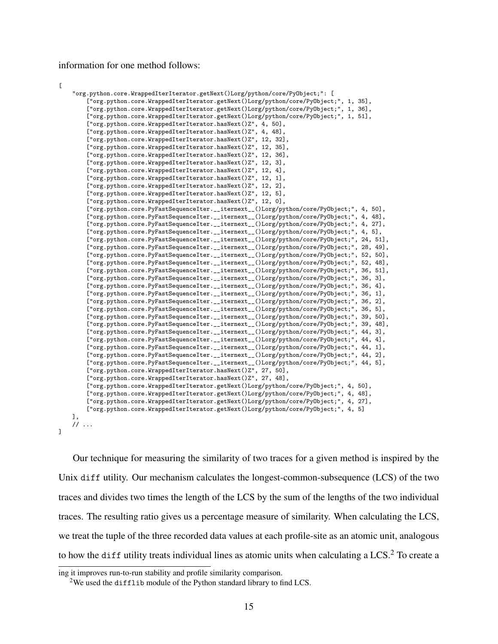information for one method follows:

```
\mathsf{L}
```
]

```
"org.python.core.WrappedIterIterator.getNext()Lorg/python/core/PyObject;": [
    ["org.python.core.WrappedIterIterator.getNext()Lorg/python/core/PyObject;", 1, 35],
    ["org.python.core.WrappedIterIterator.getNext()Lorg/python/core/PyObject;", 1, 36],
    ["org.python.core.WrappedIterIterator.getNext()Lorg/python/core/PyObject;", 1, 51],
    ["org.python.core.WrappedIterIterator.hasNext()Z", 4, 50],
    ["org.python.core.WrappedIterIterator.hasNext()Z", 4, 48],
    ["org.python.core.WrappedIterIterator.hasNext()Z", 12, 32],
    ["org.python.core.WrappedIterIterator.hasNext()Z", 12, 35],
    ["org.python.core.WrappedIterIterator.hasNext()Z", 12, 36],
    ["org.python.core.WrappedIterIterator.hasNext()Z", 12, 3],
    ["org.python.core.WrappedIterIterator.hasNext()Z", 12, 4],
    ["org.python.core.WrappedIterIterator.hasNext()Z", 12, 1],
    ["org.python.core.WrappedIterIterator.hasNext()Z", 12, 2],
    ["org.python.core.WrappedIterIterator.hasNext()Z", 12, 5],
    ["org.python.core.WrappedIterIterator.hasNext()Z", 12, 0],
    ["org.python.core.PyFastSequenceIter.__iternext__()Lorg/python/core/PyObject;", 4, 50],
    ["org.python.core.PyFastSequenceIter.__iternext__()Lorg/python/core/PyObject;", 4, 48],
    ["org.python.core.PyFastSequenceIter.__iternext__()Lorg/python/core/PyObject;", 4, 27],
    ["org.python.core.PyFastSequenceIter.__iternext__()Lorg/python/core/PyObject;", 4, 5],
    ["org.python.core.PyFastSequenceIter.__iternext__()Lorg/python/core/PyObject;", 24, 51],
    ["org.python.core.PyFastSequenceIter.__iternext__()Lorg/python/core/PyObject;", 28, 49],
    ["org.python.core.PyFastSequenceIter.__iternext__()Lorg/python/core/PyObject;", 52, 50],
    ["org.python.core.PyFastSequenceIter.__iternext__()Lorg/python/core/PyObject;", 52, 48],
    ["org.python.core.PyFastSequenceIter.__iternext__()Lorg/python/core/PyObject;", 36, 51],
    ["org.python.core.PyFastSequenceIter.__iternext_()Lorg/python/core/PyObject;", 36, 3],
    ["org.python.core.PyFastSequenceIter.__iternext__()Lorg/python/core/PyObject;", 36, 4],
    ["org.python.core.PyFastSequenceIter.__iternext__()Lorg/python/core/PyObject;", 36, 1],
    ["org.python.core.PyFastSequenceIter.__iternext__()Lorg/python/core/PyObject;", 36, 2],
    ["org.python.core.PyFastSequenceIter.__iternext__()Lorg/python/core/PyObject;", 36, 5],
    ["org.python.core.PyFastSequenceIter.__iternext__()Lorg/python/core/PyObject;", 39, 50],
    ["org.python.core.PyFastSequenceIter.__iternext__()Lorg/python/core/PyObject;", 39, 48],
    ["org.python.core.PyFastSequenceIter.__iternext__()Lorg/python/core/PyObject;", 44, 3],
    ["org.python.core.PyFastSequenceIter.__iternext__()Lorg/python/core/PyObject;", 44, 4],
    ["org.python.core.PyFastSequenceIter.__iternext__()Lorg/python/core/PyObject;", 44, 1],
    ["org.python.core.PyFastSequenceIter.__iternext__()Lorg/python/core/PyObject;", 44, 2],
    ["org.python.core.PyFastSequenceIter.__iternext__()Lorg/python/core/PyObject;", 44, 5],
    ["org.python.core.WrappedIterIterator.hasNext()Z", 27, 50],
    ["org.python.core.WrappedIterIterator.hasNext()Z", 27, 48],
    ["org.python.core.WrappedIterIterator.getNext()Lorg/python/core/PyObject;", 4, 50],
    ["org.python.core.WrappedIterIterator.getNext()Lorg/python/core/PyObject;", 4, 48],
    ["org.python.core.WrappedIterIterator.getNext()Lorg/python/core/PyObject;", 4, 27],
    ["org.python.core.WrappedIterIterator.getNext()Lorg/python/core/PyObject;", 4, 5]
],
// ...
```
Our technique for measuring the similarity of two traces for a given method is inspired by the Unix diff utility. Our mechanism calculates the longest-common-subsequence (LCS) of the two traces and divides two times the length of the LCS by the sum of the lengths of the two individual traces. The resulting ratio gives us a percentage measure of similarity. When calculating the LCS, we treat the tuple of the three recorded data values at each profile-site as an atomic unit, analogous to how the diff utility treats individual lines as atomic units when calculating a LCS.<sup>[2](#page-21-0)</sup> To create a

ing it improves run-to-run stability and profile similarity comparison.

<span id="page-21-0"></span><sup>&</sup>lt;sup>2</sup>We used the difflib module of the Python standard library to find LCS.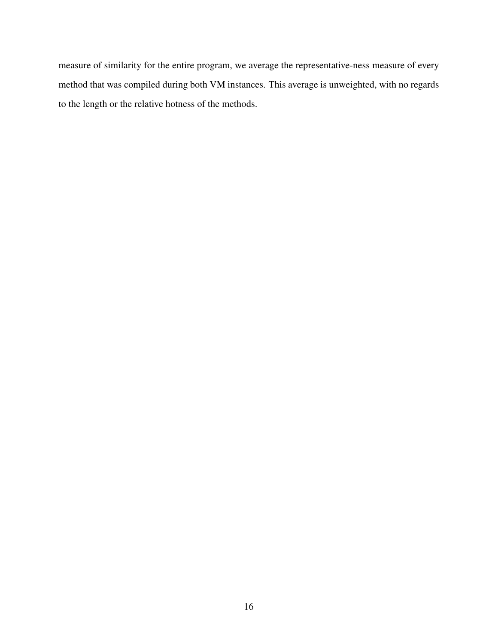measure of similarity for the entire program, we average the representative-ness measure of every method that was compiled during both VM instances. This average is unweighted, with no regards to the length or the relative hotness of the methods.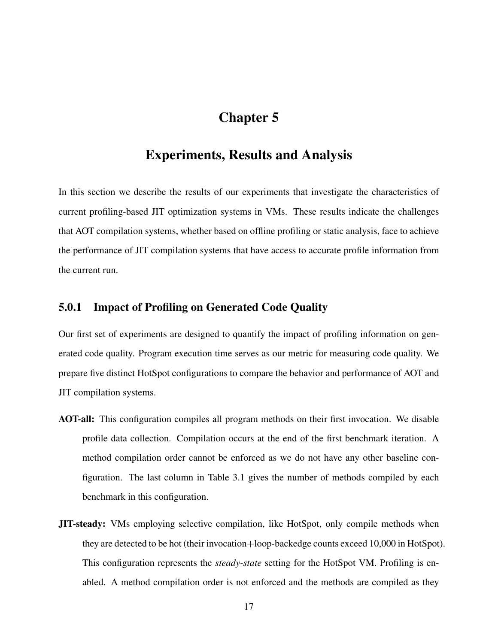# Chapter 5

### <span id="page-23-0"></span>Experiments, Results and Analysis

In this section we describe the results of our experiments that investigate the characteristics of current profiling-based JIT optimization systems in VMs. These results indicate the challenges that AOT compilation systems, whether based on offline profiling or static analysis, face to achieve the performance of JIT compilation systems that have access to accurate profile information from the current run.

### <span id="page-23-1"></span>5.0.1 Impact of Profiling on Generated Code Quality

Our first set of experiments are designed to quantify the impact of profiling information on generated code quality. Program execution time serves as our metric for measuring code quality. We prepare five distinct HotSpot configurations to compare the behavior and performance of AOT and JIT compilation systems.

- AOT-all: This configuration compiles all program methods on their first invocation. We disable profile data collection. Compilation occurs at the end of the first benchmark iteration. A method compilation order cannot be enforced as we do not have any other baseline configuration. The last column in Table [3.1](#page-14-0) gives the number of methods compiled by each benchmark in this configuration.
- JIT-steady: VMs employing selective compilation, like HotSpot, only compile methods when they are detected to be hot (their invocation+loop-backedge counts exceed 10,000 in HotSpot). This configuration represents the *steady-state* setting for the HotSpot VM. Profiling is enabled. A method compilation order is not enforced and the methods are compiled as they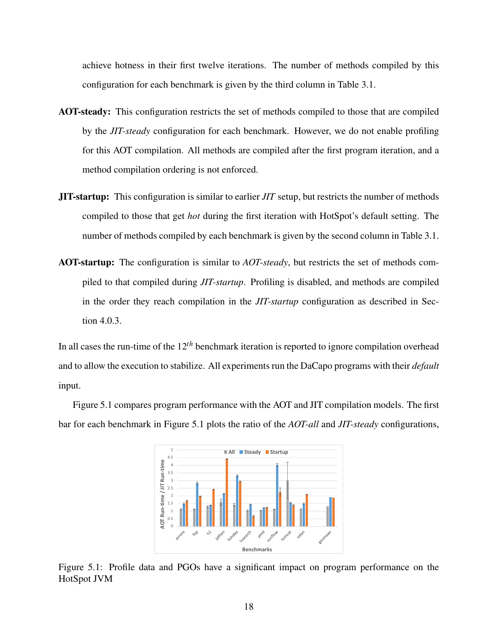achieve hotness in their first twelve iterations. The number of methods compiled by this configuration for each benchmark is given by the third column in Table [3.1.](#page-14-0)

- AOT-steady: This configuration restricts the set of methods compiled to those that are compiled by the *JIT-steady* configuration for each benchmark. However, we do not enable profiling for this AOT compilation. All methods are compiled after the first program iteration, and a method compilation ordering is not enforced.
- JIT-startup: This configuration is similar to earlier *JIT* setup, but restricts the number of methods compiled to those that get *hot* during the first iteration with HotSpot's default setting. The number of methods compiled by each benchmark is given by the second column in Table [3.1.](#page-14-0)
- AOT-startup: The configuration is similar to *AOT-steady*, but restricts the set of methods compiled to that compiled during *JIT-startup*. Profiling is disabled, and methods are compiled in the order they reach compilation in the *JIT-startup* configuration as described in Section [4.0.3.](#page-19-0)

In all cases the run-time of the 12*th* benchmark iteration is reported to ignore compilation overhead and to allow the execution to stabilize. All experiments run the DaCapo programs with their *default* input.

<span id="page-24-0"></span>Figure [5.1](#page-24-0) compares program performance with the AOT and JIT compilation models. The first bar for each benchmark in Figure [5.1](#page-24-0) plots the ratio of the *AOT-all* and *JIT-steady* configurations,



Figure 5.1: Profile data and PGOs have a significant impact on program performance on the HotSpot JVM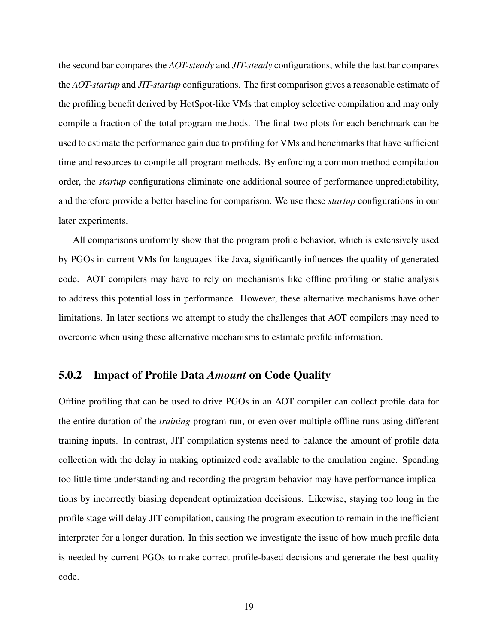the second bar compares the *AOT-steady* and *JIT-steady* configurations, while the last bar compares the *AOT-startup* and *JIT-startup* configurations. The first comparison gives a reasonable estimate of the profiling benefit derived by HotSpot-like VMs that employ selective compilation and may only compile a fraction of the total program methods. The final two plots for each benchmark can be used to estimate the performance gain due to profiling for VMs and benchmarks that have sufficient time and resources to compile all program methods. By enforcing a common method compilation order, the *startup* configurations eliminate one additional source of performance unpredictability, and therefore provide a better baseline for comparison. We use these *startup* configurations in our later experiments.

All comparisons uniformly show that the program profile behavior, which is extensively used by PGOs in current VMs for languages like Java, significantly influences the quality of generated code. AOT compilers may have to rely on mechanisms like offline profiling or static analysis to address this potential loss in performance. However, these alternative mechanisms have other limitations. In later sections we attempt to study the challenges that AOT compilers may need to overcome when using these alternative mechanisms to estimate profile information.

#### <span id="page-25-0"></span>5.0.2 Impact of Profile Data *Amount* on Code Quality

Offline profiling that can be used to drive PGOs in an AOT compiler can collect profile data for the entire duration of the *training* program run, or even over multiple offline runs using different training inputs. In contrast, JIT compilation systems need to balance the amount of profile data collection with the delay in making optimized code available to the emulation engine. Spending too little time understanding and recording the program behavior may have performance implications by incorrectly biasing dependent optimization decisions. Likewise, staying too long in the profile stage will delay JIT compilation, causing the program execution to remain in the inefficient interpreter for a longer duration. In this section we investigate the issue of how much profile data is needed by current PGOs to make correct profile-based decisions and generate the best quality code.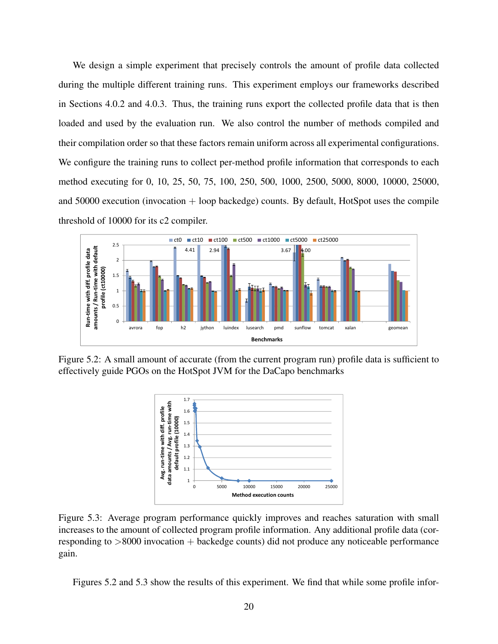We design a simple experiment that precisely controls the amount of profile data collected during the multiple different training runs. This experiment employs our frameworks described in Sections [4.0.2](#page-15-2) and [4.0.3.](#page-19-0) Thus, the training runs export the collected profile data that is then loaded and used by the evaluation run. We also control the number of methods compiled and their compilation order so that these factors remain uniform across all experimental configurations. We configure the training runs to collect per-method profile information that corresponds to each method executing for 0, 10, 25, 50, 75, 100, 250, 500, 1000, 2500, 5000, 8000, 10000, 25000, and  $50000$  execution (invocation  $+$  loop backedge) counts. By default, HotSpot uses the compile threshold of 10000 for its c2 compiler.

<span id="page-26-0"></span>

<span id="page-26-1"></span>Figure 5.2: A small amount of accurate (from the current program run) profile data is sufficient to effectively guide PGOs on the HotSpot JVM for the DaCapo benchmarks



Figure 5.3: Average program performance quickly improves and reaches saturation with small increases to the amount of collected program profile information. Any additional profile data (corresponding to  $>8000$  invocation  $+$  backedge counts) did not produce any noticeable performance gain.

Figures [5.2](#page-26-0) and [5.3](#page-26-1) show the results of this experiment. We find that while some profile infor-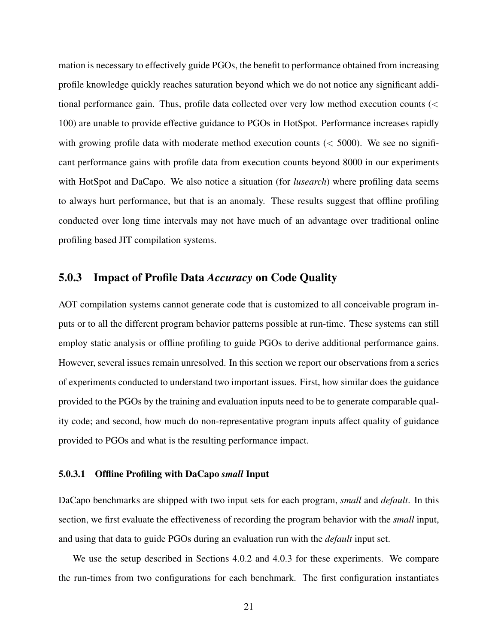mation is necessary to effectively guide PGOs, the benefit to performance obtained from increasing profile knowledge quickly reaches saturation beyond which we do not notice any significant additional performance gain. Thus, profile data collected over very low method execution counts (< 100) are unable to provide effective guidance to PGOs in HotSpot. Performance increases rapidly with growing profile data with moderate method execution counts  $(< 5000$ ). We see no significant performance gains with profile data from execution counts beyond 8000 in our experiments with HotSpot and DaCapo. We also notice a situation (for *lusearch*) where profiling data seems to always hurt performance, but that is an anomaly. These results suggest that offline profiling conducted over long time intervals may not have much of an advantage over traditional online profiling based JIT compilation systems.

#### <span id="page-27-0"></span>5.0.3 Impact of Profile Data *Accuracy* on Code Quality

AOT compilation systems cannot generate code that is customized to all conceivable program inputs or to all the different program behavior patterns possible at run-time. These systems can still employ static analysis or offline profiling to guide PGOs to derive additional performance gains. However, several issues remain unresolved. In this section we report our observations from a series of experiments conducted to understand two important issues. First, how similar does the guidance provided to the PGOs by the training and evaluation inputs need to be to generate comparable quality code; and second, how much do non-representative program inputs affect quality of guidance provided to PGOs and what is the resulting performance impact.

#### <span id="page-27-1"></span>5.0.3.1 Offline Profiling with DaCapo *small* Input

DaCapo benchmarks are shipped with two input sets for each program, *small* and *default*. In this section, we first evaluate the effectiveness of recording the program behavior with the *small* input, and using that data to guide PGOs during an evaluation run with the *default* input set.

We use the setup described in Sections [4.0.2](#page-15-2) and [4.0.3](#page-19-0) for these experiments. We compare the run-times from two configurations for each benchmark. The first configuration instantiates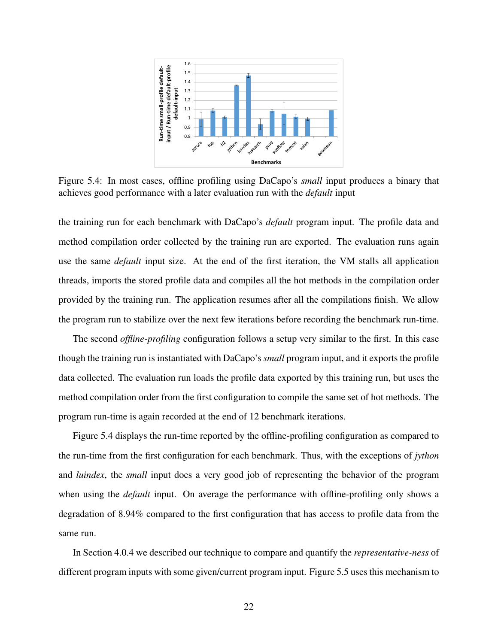<span id="page-28-0"></span>

Figure 5.4: In most cases, offline profiling using DaCapo's *small* input produces a binary that achieves good performance with a later evaluation run with the *default* input

the training run for each benchmark with DaCapo's *default* program input. The profile data and method compilation order collected by the training run are exported. The evaluation runs again use the same *default* input size. At the end of the first iteration, the VM stalls all application threads, imports the stored profile data and compiles all the hot methods in the compilation order provided by the training run. The application resumes after all the compilations finish. We allow the program run to stabilize over the next few iterations before recording the benchmark run-time.

The second *offline-profiling* configuration follows a setup very similar to the first. In this case though the training run is instantiated with DaCapo's *small* program input, and it exports the profile data collected. The evaluation run loads the profile data exported by this training run, but uses the method compilation order from the first configuration to compile the same set of hot methods. The program run-time is again recorded at the end of 12 benchmark iterations.

Figure [5.4](#page-28-0) displays the run-time reported by the offline-profiling configuration as compared to the run-time from the first configuration for each benchmark. Thus, with the exceptions of *jython* and *luindex*, the *small* input does a very good job of representing the behavior of the program when using the *default* input. On average the performance with offline-profiling only shows a degradation of 8.94% compared to the first configuration that has access to profile data from the same run.

In Section [4.0.4](#page-20-0) we described our technique to compare and quantify the *representative-ness* of different program inputs with some given/current program input. Figure [5.5](#page-29-1) uses this mechanism to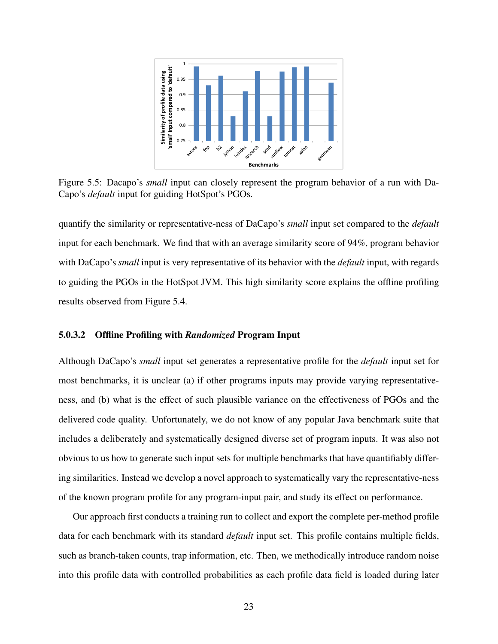<span id="page-29-1"></span>

Figure 5.5: Dacapo's *small* input can closely represent the program behavior of a run with Da-Capo's *default* input for guiding HotSpot's PGOs.

quantify the similarity or representative-ness of DaCapo's *small* input set compared to the *default* input for each benchmark. We find that with an average similarity score of 94%, program behavior with DaCapo's *small* input is very representative of its behavior with the *default* input, with regards to guiding the PGOs in the HotSpot JVM. This high similarity score explains the offline profiling results observed from Figure [5.4.](#page-28-0)

#### <span id="page-29-0"></span>5.0.3.2 Offline Profiling with *Randomized* Program Input

Although DaCapo's *small* input set generates a representative profile for the *default* input set for most benchmarks, it is unclear (a) if other programs inputs may provide varying representativeness, and (b) what is the effect of such plausible variance on the effectiveness of PGOs and the delivered code quality. Unfortunately, we do not know of any popular Java benchmark suite that includes a deliberately and systematically designed diverse set of program inputs. It was also not obvious to us how to generate such input sets for multiple benchmarks that have quantifiably differing similarities. Instead we develop a novel approach to systematically vary the representative-ness of the known program profile for any program-input pair, and study its effect on performance.

Our approach first conducts a training run to collect and export the complete per-method profile data for each benchmark with its standard *default* input set. This profile contains multiple fields, such as branch-taken counts, trap information, etc. Then, we methodically introduce random noise into this profile data with controlled probabilities as each profile data field is loaded during later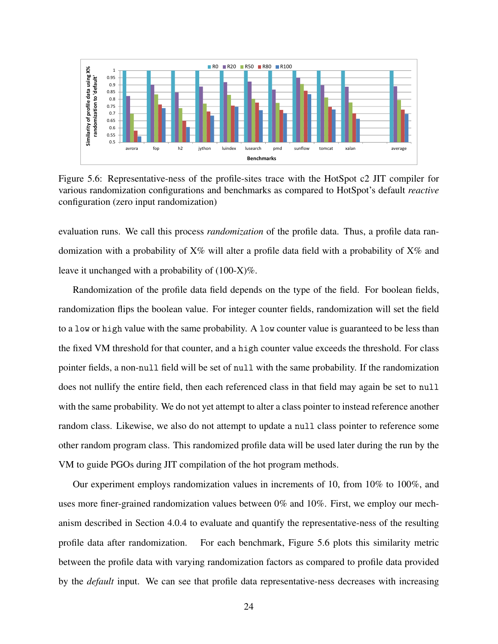<span id="page-30-0"></span>

Figure 5.6: Representative-ness of the profile-sites trace with the HotSpot c2 JIT compiler for various randomization configurations and benchmarks as compared to HotSpot's default *reactive* configuration (zero input randomization)

evaluation runs. We call this process *randomization* of the profile data. Thus, a profile data randomization with a probability of  $X\%$  will alter a profile data field with a probability of  $X\%$  and leave it unchanged with a probability of (100-X)%.

Randomization of the profile data field depends on the type of the field. For boolean fields, randomization flips the boolean value. For integer counter fields, randomization will set the field to a low or high value with the same probability. A low counter value is guaranteed to be less than the fixed VM threshold for that counter, and a high counter value exceeds the threshold. For class pointer fields, a non-null field will be set of null with the same probability. If the randomization does not nullify the entire field, then each referenced class in that field may again be set to null with the same probability. We do not yet attempt to alter a class pointer to instead reference another random class. Likewise, we also do not attempt to update a null class pointer to reference some other random program class. This randomized profile data will be used later during the run by the VM to guide PGOs during JIT compilation of the hot program methods.

Our experiment employs randomization values in increments of 10, from 10% to 100%, and uses more finer-grained randomization values between 0% and 10%. First, we employ our mechanism described in Section [4.0.4](#page-20-0) to evaluate and quantify the representative-ness of the resulting profile data after randomization. For each benchmark, Figure [5.6](#page-30-0) plots this similarity metric between the profile data with varying randomization factors as compared to profile data provided by the *default* input. We can see that profile data representative-ness decreases with increasing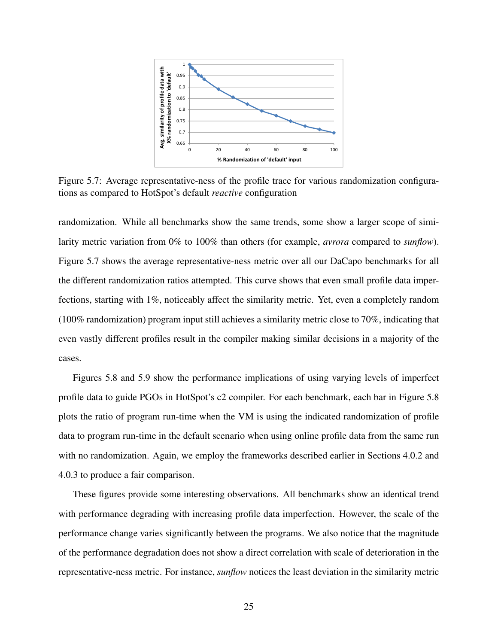<span id="page-31-0"></span>

Figure 5.7: Average representative-ness of the profile trace for various randomization configurations as compared to HotSpot's default *reactive* configuration

randomization. While all benchmarks show the same trends, some show a larger scope of similarity metric variation from 0% to 100% than others (for example, *avrora* compared to *sunflow*). Figure [5.7](#page-31-0) shows the average representative-ness metric over all our DaCapo benchmarks for all the different randomization ratios attempted. This curve shows that even small profile data imperfections, starting with 1%, noticeably affect the similarity metric. Yet, even a completely random (100% randomization) program input still achieves a similarity metric close to 70%, indicating that even vastly different profiles result in the compiler making similar decisions in a majority of the cases.

Figures [5.8](#page-32-1) and [5.9](#page-32-2) show the performance implications of using varying levels of imperfect profile data to guide PGOs in HotSpot's c2 compiler. For each benchmark, each bar in Figure [5.8](#page-32-1) plots the ratio of program run-time when the VM is using the indicated randomization of profile data to program run-time in the default scenario when using online profile data from the same run with no randomization. Again, we employ the frameworks described earlier in Sections [4.0.2](#page-15-2) and [4.0.3](#page-19-0) to produce a fair comparison.

These figures provide some interesting observations. All benchmarks show an identical trend with performance degrading with increasing profile data imperfection. However, the scale of the performance change varies significantly between the programs. We also notice that the magnitude of the performance degradation does not show a direct correlation with scale of deterioration in the representative-ness metric. For instance, *sunflow* notices the least deviation in the similarity metric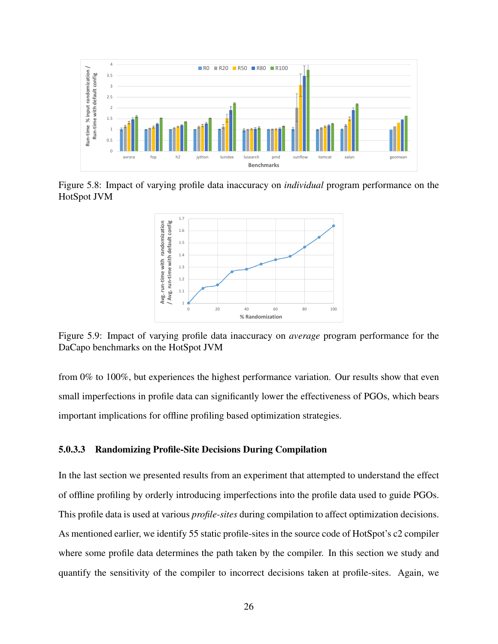<span id="page-32-1"></span>

<span id="page-32-2"></span>Figure 5.8: Impact of varying profile data inaccuracy on *individual* program performance on the HotSpot JVM



Figure 5.9: Impact of varying profile data inaccuracy on *average* program performance for the DaCapo benchmarks on the HotSpot JVM

from 0% to 100%, but experiences the highest performance variation. Our results show that even small imperfections in profile data can significantly lower the effectiveness of PGOs, which bears important implications for offline profiling based optimization strategies.

#### <span id="page-32-0"></span>5.0.3.3 Randomizing Profile-Site Decisions During Compilation

In the last section we presented results from an experiment that attempted to understand the effect of offline profiling by orderly introducing imperfections into the profile data used to guide PGOs. This profile data is used at various *profile-sites* during compilation to affect optimization decisions. As mentioned earlier, we identify 55 static profile-sites in the source code of HotSpot's c2 compiler where some profile data determines the path taken by the compiler. In this section we study and quantify the sensitivity of the compiler to incorrect decisions taken at profile-sites. Again, we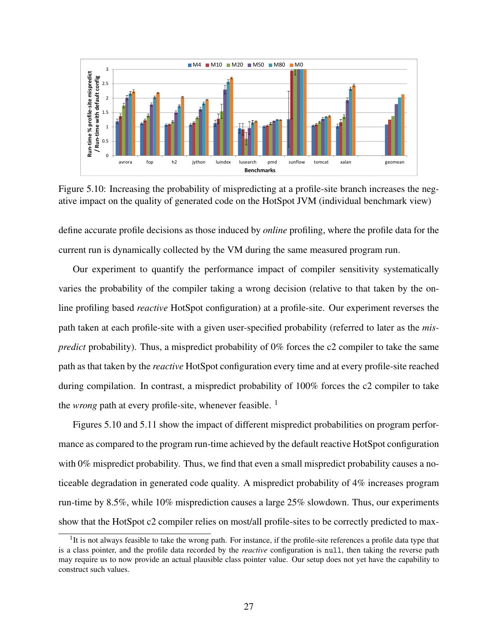<span id="page-33-0"></span>

Figure 5.10: Increasing the probability of mispredicting at a profile-site branch increases the negative impact on the quality of generated code on the HotSpot JVM (individual benchmark view)

define accurate profile decisions as those induced by *online* profiling, where the profile data for the current run is dynamically collected by the VM during the same measured program run.

Our experiment to quantify the performance impact of compiler sensitivity systematically varies the probability of the compiler taking a wrong decision (relative to that taken by the online profiling based *reactive* HotSpot configuration) at a profile-site. Our experiment reverses the path taken at each profile-site with a given user-specified probability (referred to later as the *mispredict* probability). Thus, a mispredict probability of 0% forces the c2 compiler to take the same path as that taken by the *reactive* HotSpot configuration every time and at every profile-site reached during compilation. In contrast, a mispredict probability of 100% forces the c2 compiler to take the *wrong* path at every profile-site, whenever feasible. <sup>[1](#page-33-1)</sup>

Figures [5.10](#page-33-0) and [5.11](#page-34-1) show the impact of different mispredict probabilities on program performance as compared to the program run-time achieved by the default reactive HotSpot configuration with 0% mispredict probability. Thus, we find that even a small mispredict probability causes a noticeable degradation in generated code quality. A mispredict probability of 4% increases program run-time by 8.5%, while 10% misprediction causes a large 25% slowdown. Thus, our experiments show that the HotSpot c2 compiler relies on most/all profile-sites to be correctly predicted to max-

<span id="page-33-1"></span> $<sup>1</sup>$ It is not always feasible to take the wrong path. For instance, if the profile-site references a profile data type that</sup> is a class pointer, and the profile data recorded by the *reactive* configuration is null, then taking the reverse path may require us to now provide an actual plausible class pointer value. Our setup does not yet have the capability to construct such values.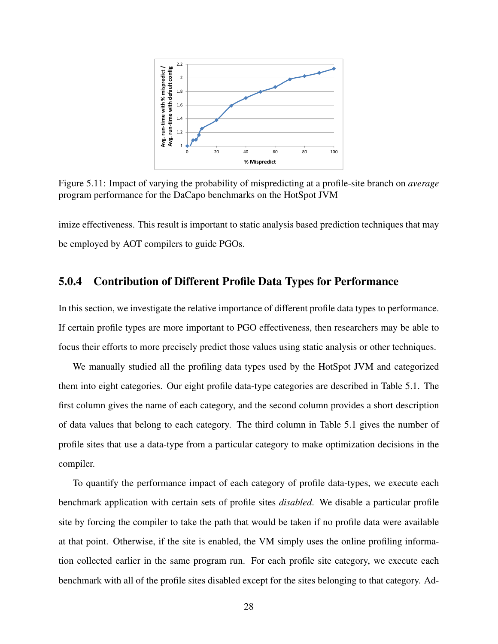<span id="page-34-1"></span>

Figure 5.11: Impact of varying the probability of mispredicting at a profile-site branch on *average* program performance for the DaCapo benchmarks on the HotSpot JVM

imize effectiveness. This result is important to static analysis based prediction techniques that may be employed by AOT compilers to guide PGOs.

### <span id="page-34-0"></span>5.0.4 Contribution of Different Profile Data Types for Performance

In this section, we investigate the relative importance of different profile data types to performance. If certain profile types are more important to PGO effectiveness, then researchers may be able to focus their efforts to more precisely predict those values using static analysis or other techniques.

We manually studied all the profiling data types used by the HotSpot JVM and categorized them into eight categories. Our eight profile data-type categories are described in Table [5.1.](#page-35-1) The first column gives the name of each category, and the second column provides a short description of data values that belong to each category. The third column in Table [5.1](#page-35-1) gives the number of profile sites that use a data-type from a particular category to make optimization decisions in the compiler.

To quantify the performance impact of each category of profile data-types, we execute each benchmark application with certain sets of profile sites *disabled*. We disable a particular profile site by forcing the compiler to take the path that would be taken if no profile data were available at that point. Otherwise, if the site is enabled, the VM simply uses the online profiling information collected earlier in the same program run. For each profile site category, we execute each benchmark with all of the profile sites disabled except for the sites belonging to that category. Ad-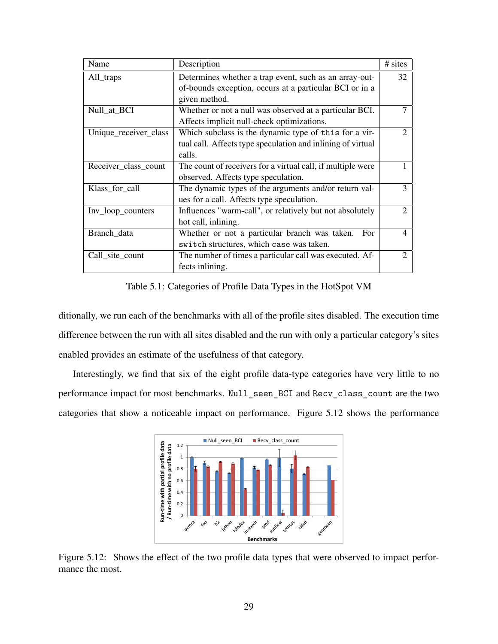<span id="page-35-1"></span>

| Name                  | Description                                                 | # sites                     |
|-----------------------|-------------------------------------------------------------|-----------------------------|
| All_traps             | Determines whether a trap event, such as an array-out-      | 32                          |
|                       | of-bounds exception, occurs at a particular BCI or in a     |                             |
|                       | given method.                                               |                             |
| Null_at_BCI           | Whether or not a null was observed at a particular BCI.     |                             |
|                       | Affects implicit null-check optimizations.                  |                             |
| Unique_receiver_class | Which subclass is the dynamic type of this for a vir-       | $\mathcal{D}_{\mathcal{L}}$ |
|                       | tual call. Affects type speculation and inlining of virtual |                             |
|                       | calls.                                                      |                             |
| Receiver_class_count  | The count of receivers for a virtual call, if multiple were |                             |
|                       | observed. Affects type speculation.                         |                             |
| Klass_for_call        | The dynamic types of the arguments and/or return val-       | 3                           |
|                       | ues for a call. Affects type speculation.                   |                             |
| Inv_loop_counters     | Influences "warm-call", or relatively but not absolutely    |                             |
|                       | hot call, inlining.                                         |                             |
| Branch_data           | Whether or not a particular branch was taken.<br>For        | 4                           |
|                       | switch structures, which case was taken.                    |                             |
| Call_site_count       | The number of times a particular call was executed. Af-     |                             |
|                       | fects inlining.                                             |                             |

Table 5.1: Categories of Profile Data Types in the HotSpot VM

ditionally, we run each of the benchmarks with all of the profile sites disabled. The execution time difference between the run with all sites disabled and the run with only a particular category's sites enabled provides an estimate of the usefulness of that category.

<span id="page-35-0"></span>Interestingly, we find that six of the eight profile data-type categories have very little to no performance impact for most benchmarks. Null\_seen\_BCI and Recv\_class\_count are the two categories that show a noticeable impact on performance. Figure [5.12](#page-35-0) shows the performance



Figure 5.12: Shows the effect of the two profile data types that were observed to impact performance the most.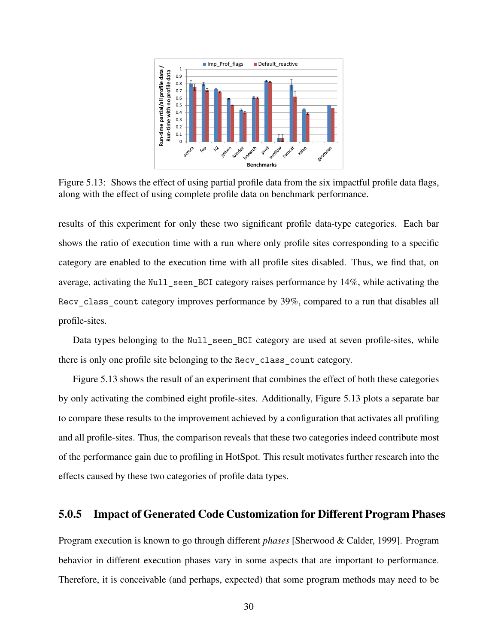<span id="page-36-1"></span>

Figure 5.13: Shows the effect of using partial profile data from the six impactful profile data flags, along with the effect of using complete profile data on benchmark performance.

results of this experiment for only these two significant profile data-type categories. Each bar shows the ratio of execution time with a run where only profile sites corresponding to a specific category are enabled to the execution time with all profile sites disabled. Thus, we find that, on average, activating the Null seen BCI category raises performance by 14%, while activating the Recv class count category improves performance by 39%, compared to a run that disables all profile-sites.

Data types belonging to the Null seen BCI category are used at seven profile-sites, while there is only one profile site belonging to the Recv\_class\_count category.

Figure [5.13](#page-36-1) shows the result of an experiment that combines the effect of both these categories by only activating the combined eight profile-sites. Additionally, Figure [5.13](#page-36-1) plots a separate bar to compare these results to the improvement achieved by a configuration that activates all profiling and all profile-sites. Thus, the comparison reveals that these two categories indeed contribute most of the performance gain due to profiling in HotSpot. This result motivates further research into the effects caused by these two categories of profile data types.

#### <span id="page-36-0"></span>5.0.5 Impact of Generated Code Customization for Different Program Phases

Program execution is known to go through different *phases* [\[Sherwood & Calder, 1999\]](#page-44-5). Program behavior in different execution phases vary in some aspects that are important to performance. Therefore, it is conceivable (and perhaps, expected) that some program methods may need to be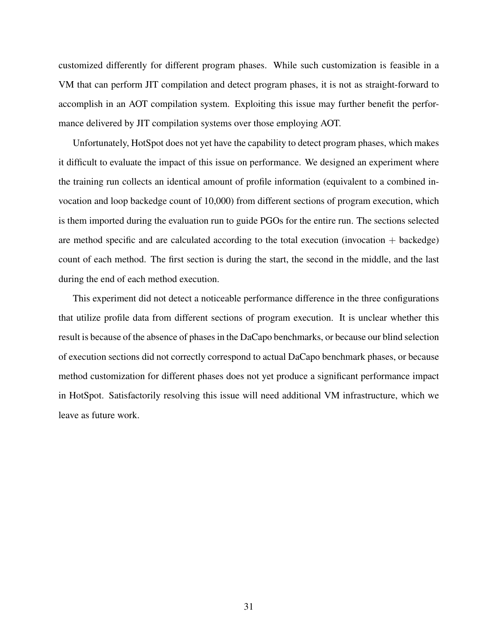customized differently for different program phases. While such customization is feasible in a VM that can perform JIT compilation and detect program phases, it is not as straight-forward to accomplish in an AOT compilation system. Exploiting this issue may further benefit the performance delivered by JIT compilation systems over those employing AOT.

Unfortunately, HotSpot does not yet have the capability to detect program phases, which makes it difficult to evaluate the impact of this issue on performance. We designed an experiment where the training run collects an identical amount of profile information (equivalent to a combined invocation and loop backedge count of 10,000) from different sections of program execution, which is them imported during the evaluation run to guide PGOs for the entire run. The sections selected are method specific and are calculated according to the total execution (invocation  $+$  backedge) count of each method. The first section is during the start, the second in the middle, and the last during the end of each method execution.

This experiment did not detect a noticeable performance difference in the three configurations that utilize profile data from different sections of program execution. It is unclear whether this result is because of the absence of phases in the DaCapo benchmarks, or because our blind selection of execution sections did not correctly correspond to actual DaCapo benchmark phases, or because method customization for different phases does not yet produce a significant performance impact in HotSpot. Satisfactorily resolving this issue will need additional VM infrastructure, which we leave as future work.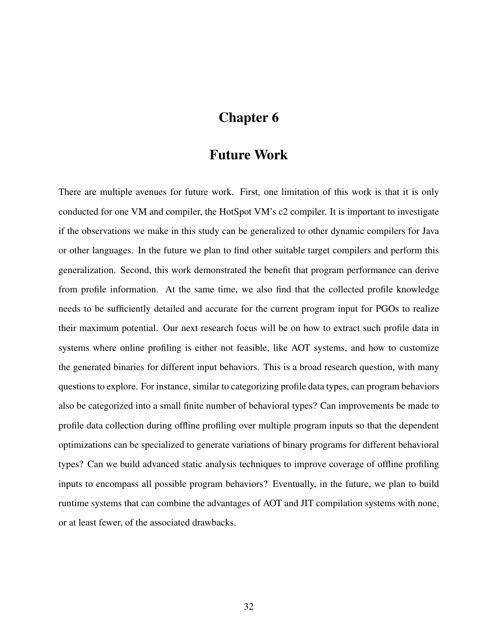## Chapter 6

### Future Work

<span id="page-38-0"></span>There are multiple avenues for future work. First, one limitation of this work is that it is only conducted for one VM and compiler, the HotSpot VM's c2 compiler. It is important to investigate if the observations we make in this study can be generalized to other dynamic compilers for Java or other languages. In the future we plan to find other suitable target compilers and perform this generalization. Second, this work demonstrated the benefit that program performance can derive from profile information. At the same time, we also find that the collected profile knowledge needs to be sufficiently detailed and accurate for the current program input for PGOs to realize their maximum potential. Our next research focus will be on how to extract such profile data in systems where online profiling is either not feasible, like AOT systems, and how to customize the generated binaries for different input behaviors. This is a broad research question, with many questions to explore. For instance, similar to categorizing profile data types, can program behaviors also be categorized into a small finite number of behavioral types? Can improvements be made to profile data collection during offline profiling over multiple program inputs so that the dependent optimizations can be specialized to generate variations of binary programs for different behavioral types? Can we build advanced static analysis techniques to improve coverage of offline profiling inputs to encompass all possible program behaviors? Eventually, in the future, we plan to build runtime systems that can combine the advantages of AOT and JIT compilation systems with none, or at least fewer, of the associated drawbacks.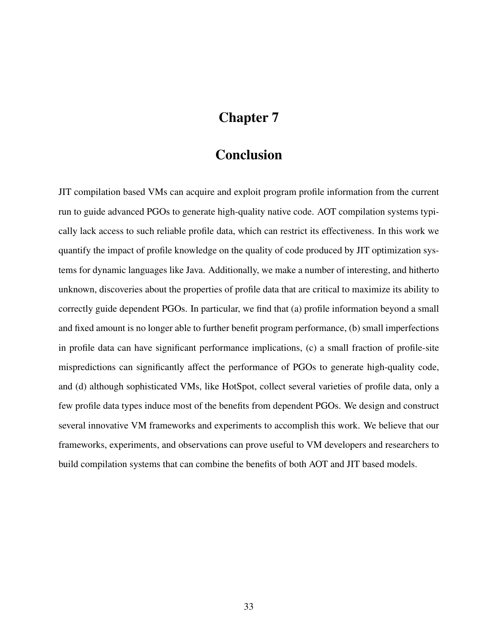# Chapter 7

## **Conclusion**

<span id="page-39-0"></span>JIT compilation based VMs can acquire and exploit program profile information from the current run to guide advanced PGOs to generate high-quality native code. AOT compilation systems typically lack access to such reliable profile data, which can restrict its effectiveness. In this work we quantify the impact of profile knowledge on the quality of code produced by JIT optimization systems for dynamic languages like Java. Additionally, we make a number of interesting, and hitherto unknown, discoveries about the properties of profile data that are critical to maximize its ability to correctly guide dependent PGOs. In particular, we find that (a) profile information beyond a small and fixed amount is no longer able to further benefit program performance, (b) small imperfections in profile data can have significant performance implications, (c) a small fraction of profile-site mispredictions can significantly affect the performance of PGOs to generate high-quality code, and (d) although sophisticated VMs, like HotSpot, collect several varieties of profile data, only a few profile data types induce most of the benefits from dependent PGOs. We design and construct several innovative VM frameworks and experiments to accomplish this work. We believe that our frameworks, experiments, and observations can prove useful to VM developers and researchers to build compilation systems that can combine the benefits of both AOT and JIT based models.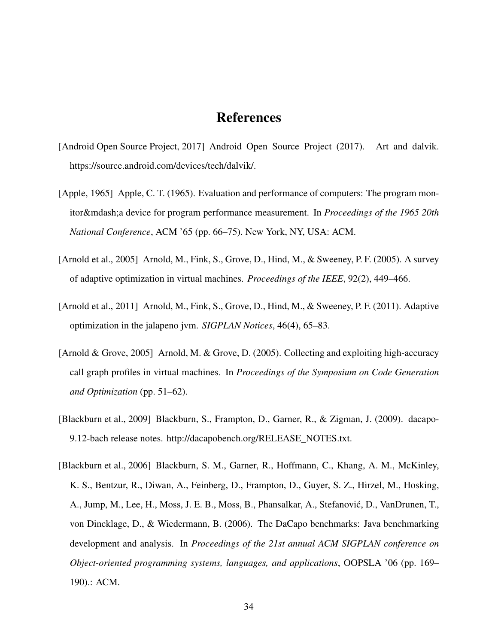### References

- <span id="page-40-0"></span>[Android Open Source Project, 2017] Android Open Source Project (2017). Art and dalvik. https://source.android.com/devices/tech/dalvik/.
- <span id="page-40-1"></span>[Apple, 1965] Apple, C. T. (1965). Evaluation and performance of computers: The program monitor—a device for program performance measurement. In *Proceedings of the 1965 20th National Conference*, ACM '65 (pp. 66–75). New York, NY, USA: ACM.
- <span id="page-40-3"></span>[Arnold et al., 2005] Arnold, M., Fink, S., Grove, D., Hind, M., & Sweeney, P. F. (2005). A survey of adaptive optimization in virtual machines. *Proceedings of the IEEE*, 92(2), 449–466.
- <span id="page-40-2"></span>[Arnold et al., 2011] Arnold, M., Fink, S., Grove, D., Hind, M., & Sweeney, P. F. (2011). Adaptive optimization in the jalapeno jvm. *SIGPLAN Notices*, 46(4), 65–83.
- <span id="page-40-4"></span>[Arnold & Grove, 2005] Arnold, M. & Grove, D. (2005). Collecting and exploiting high-accuracy call graph profiles in virtual machines. In *Proceedings of the Symposium on Code Generation and Optimization* (pp. 51–62).
- <span id="page-40-6"></span>[Blackburn et al., 2009] Blackburn, S., Frampton, D., Garner, R., & Zigman, J. (2009). dacapo-9.12-bach release notes. http://dacapobench.org/RELEASE\_NOTES.txt.
- <span id="page-40-5"></span>[Blackburn et al., 2006] Blackburn, S. M., Garner, R., Hoffmann, C., Khang, A. M., McKinley, K. S., Bentzur, R., Diwan, A., Feinberg, D., Frampton, D., Guyer, S. Z., Hirzel, M., Hosking, A., Jump, M., Lee, H., Moss, J. E. B., Moss, B., Phansalkar, A., Stefanovic, D., VanDrunen, T., ´ von Dincklage, D., & Wiedermann, B. (2006). The DaCapo benchmarks: Java benchmarking development and analysis. In *Proceedings of the 21st annual ACM SIGPLAN conference on Object-oriented programming systems, languages, and applications*, OOPSLA '06 (pp. 169– 190).: ACM.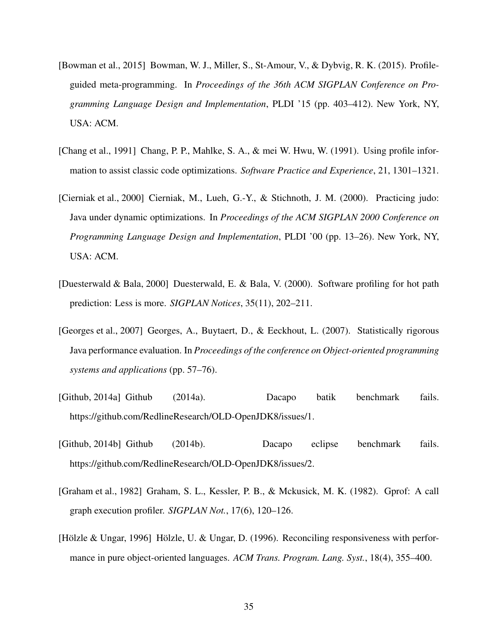- <span id="page-41-3"></span>[Bowman et al., 2015] Bowman, W. J., Miller, S., St-Amour, V., & Dybvig, R. K. (2015). Profileguided meta-programming. In *Proceedings of the 36th ACM SIGPLAN Conference on Programming Language Design and Implementation*, PLDI '15 (pp. 403–412). New York, NY, USA: ACM.
- <span id="page-41-0"></span>[Chang et al., 1991] Chang, P. P., Mahlke, S. A., & mei W. Hwu, W. (1991). Using profile information to assist classic code optimizations. *Software Practice and Experience*, 21, 1301–1321.
- <span id="page-41-1"></span>[Cierniak et al., 2000] Cierniak, M., Lueh, G.-Y., & Stichnoth, J. M. (2000). Practicing judo: Java under dynamic optimizations. In *Proceedings of the ACM SIGPLAN 2000 Conference on Programming Language Design and Implementation*, PLDI '00 (pp. 13–26). New York, NY, USA: ACM.
- <span id="page-41-4"></span>[Duesterwald & Bala, 2000] Duesterwald, E. & Bala, V. (2000). Software profiling for hot path prediction: Less is more. *SIGPLAN Notices*, 35(11), 202–211.
- <span id="page-41-7"></span>[Georges et al., 2007] Georges, A., Buytaert, D., & Eeckhout, L. (2007). Statistically rigorous Java performance evaluation. In *Proceedings of the conference on Object-oriented programming systems and applications* (pp. 57–76).
- <span id="page-41-5"></span>[Github, 2014a] Github (2014a). Dacapo batik benchmark fails. https://github.com/RedlineResearch/OLD-OpenJDK8/issues/1.
- <span id="page-41-6"></span>[Github, 2014b] Github (2014b). Dacapo eclipse benchmark fails. https://github.com/RedlineResearch/OLD-OpenJDK8/issues/2.
- <span id="page-41-8"></span>[Graham et al., 1982] Graham, S. L., Kessler, P. B., & Mckusick, M. K. (1982). Gprof: A call graph execution profiler. *SIGPLAN Not.*, 17(6), 120–126.
- <span id="page-41-2"></span>[Hölzle & Ungar, 1996] Hölzle, U. & Ungar, D. (1996). Reconciling responsiveness with performance in pure object-oriented languages. *ACM Trans. Program. Lang. Syst.*, 18(4), 355–400.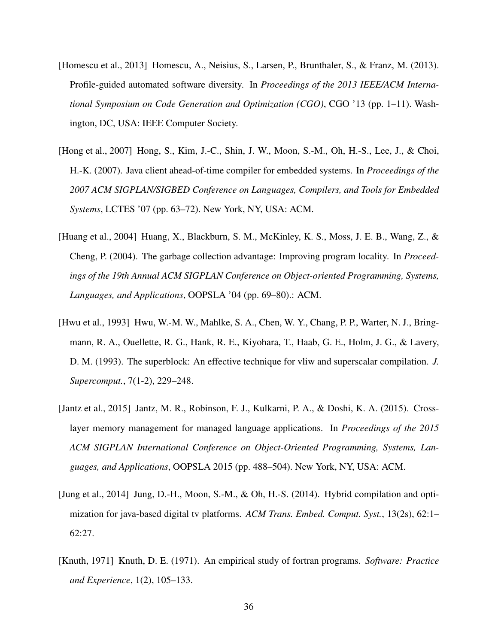- <span id="page-42-4"></span>[Homescu et al., 2013] Homescu, A., Neisius, S., Larsen, P., Brunthaler, S., & Franz, M. (2013). Profile-guided automated software diversity. In *Proceedings of the 2013 IEEE/ACM International Symposium on Code Generation and Optimization (CGO)*, CGO '13 (pp. 1–11). Washington, DC, USA: IEEE Computer Society.
- <span id="page-42-1"></span>[Hong et al., 2007] Hong, S., Kim, J.-C., Shin, J. W., Moon, S.-M., Oh, H.-S., Lee, J., & Choi, H.-K. (2007). Java client ahead-of-time compiler for embedded systems. In *Proceedings of the 2007 ACM SIGPLAN/SIGBED Conference on Languages, Compilers, and Tools for Embedded Systems*, LCTES '07 (pp. 63–72). New York, NY, USA: ACM.
- <span id="page-42-5"></span>[Huang et al., 2004] Huang, X., Blackburn, S. M., McKinley, K. S., Moss, J. E. B., Wang, Z., & Cheng, P. (2004). The garbage collection advantage: Improving program locality. In *Proceedings of the 19th Annual ACM SIGPLAN Conference on Object-oriented Programming, Systems, Languages, and Applications*, OOPSLA '04 (pp. 69–80).: ACM.
- <span id="page-42-3"></span>[Hwu et al., 1993] Hwu, W.-M. W., Mahlke, S. A., Chen, W. Y., Chang, P. P., Warter, N. J., Bringmann, R. A., Ouellette, R. G., Hank, R. E., Kiyohara, T., Haab, G. E., Holm, J. G., & Lavery, D. M. (1993). The superblock: An effective technique for vliw and superscalar compilation. *J. Supercomput.*, 7(1-2), 229–248.
- <span id="page-42-6"></span>[Jantz et al., 2015] Jantz, M. R., Robinson, F. J., Kulkarni, P. A., & Doshi, K. A. (2015). Crosslayer memory management for managed language applications. In *Proceedings of the 2015 ACM SIGPLAN International Conference on Object-Oriented Programming, Systems, Languages, and Applications*, OOPSLA 2015 (pp. 488–504). New York, NY, USA: ACM.
- <span id="page-42-0"></span>[Jung et al., 2014] Jung, D.-H., Moon, S.-M., & Oh, H.-S. (2014). Hybrid compilation and optimization for java-based digital tv platforms. *ACM Trans. Embed. Comput. Syst.*, 13(2s), 62:1– 62:27.
- <span id="page-42-2"></span>[Knuth, 1971] Knuth, D. E. (1971). An empirical study of fortran programs. *Software: Practice and Experience*, 1(2), 105–133.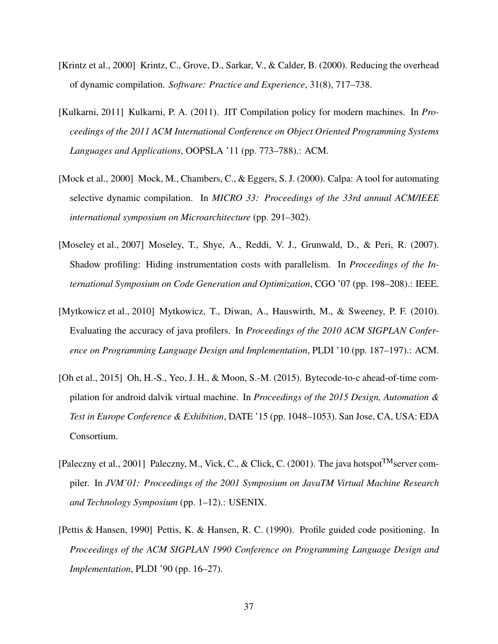- <span id="page-43-4"></span>[Krintz et al., 2000] Krintz, C., Grove, D., Sarkar, V., & Calder, B. (2000). Reducing the overhead of dynamic compilation. *Software: Practice and Experience*, 31(8), 717–738.
- <span id="page-43-7"></span>[Kulkarni, 2011] Kulkarni, P. A. (2011). JIT Compilation policy for modern machines. In *Proceedings of the 2011 ACM International Conference on Object Oriented Programming Systems Languages and Applications*, OOPSLA '11 (pp. 773–788).: ACM.
- <span id="page-43-2"></span>[Mock et al., 2000] Mock, M., Chambers, C., & Eggers, S. J. (2000). Calpa: A tool for automating selective dynamic compilation. In *MICRO 33: Proceedings of the 33rd annual ACM/IEEE international symposium on Microarchitecture* (pp. 291–302).
- <span id="page-43-5"></span>[Moseley et al., 2007] Moseley, T., Shye, A., Reddi, V. J., Grunwald, D., & Peri, R. (2007). Shadow profiling: Hiding instrumentation costs with parallelism. In *Proceedings of the International Symposium on Code Generation and Optimization*, CGO '07 (pp. 198–208).: IEEE.
- <span id="page-43-6"></span>[Mytkowicz et al., 2010] Mytkowicz, T., Diwan, A., Hauswirth, M., & Sweeney, P. F. (2010). Evaluating the accuracy of java profilers. In *Proceedings of the 2010 ACM SIGPLAN Conference on Programming Language Design and Implementation*, PLDI '10 (pp. 187–197).: ACM.
- <span id="page-43-1"></span>[Oh et al., 2015] Oh, H.-S., Yeo, J. H., & Moon, S.-M. (2015). Bytecode-to-c ahead-of-time compilation for android dalvik virtual machine. In *Proceedings of the 2015 Design, Automation & Test in Europe Conference & Exhibition*, DATE '15 (pp. 1048–1053). San Jose, CA, USA: EDA Consortium.
- <span id="page-43-0"></span>[Paleczny et al., 2001] Paleczny, M., Vick, C., & Click, C. (2001). The java hotspot<sup>TM</sup>server compiler. In *JVM'01: Proceedings of the 2001 Symposium on JavaTM Virtual Machine Research and Technology Symposium* (pp. 1–12).: USENIX.
- <span id="page-43-3"></span>[Pettis & Hansen, 1990] Pettis, K. & Hansen, R. C. (1990). Profile guided code positioning. In *Proceedings of the ACM SIGPLAN 1990 Conference on Programming Language Design and Implementation*, PLDI '90 (pp. 16–27).